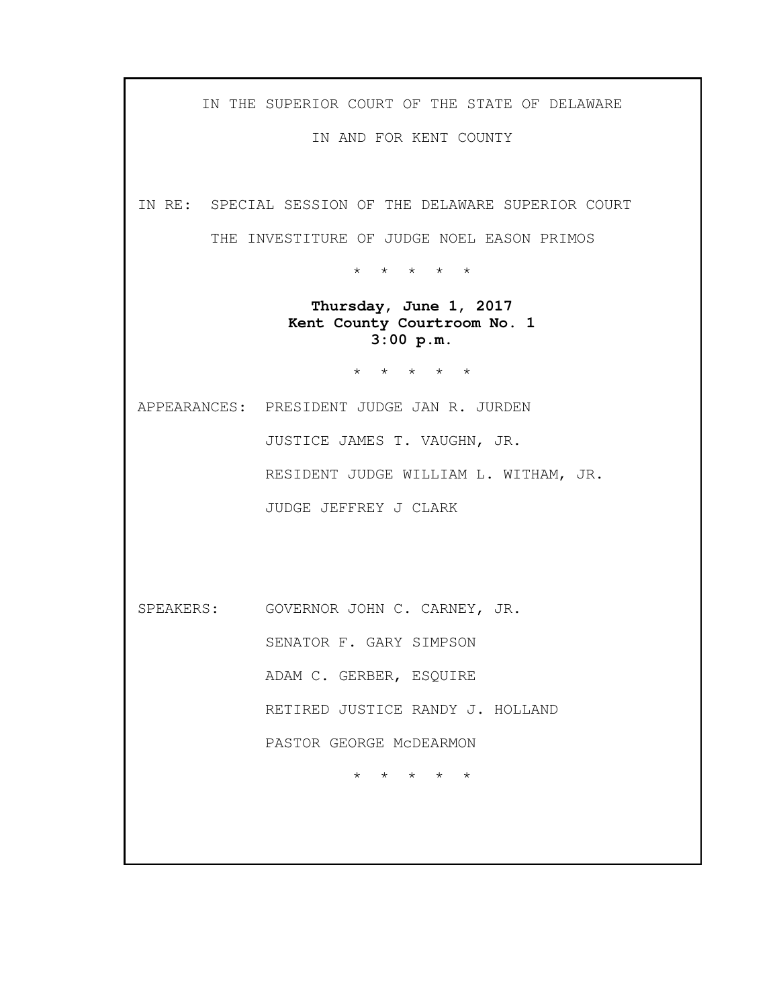IN THE SUPERIOR COURT OF THE STATE OF DELAWARE

IN AND FOR KENT COUNTY

IN RE: SPECIAL SESSION OF THE DELAWARE SUPERIOR COURT

THE INVESTITURE OF JUDGE NOEL EASON PRIMOS

\* \* \* \* \*

**Thursday, June 1, 2017 Kent County Courtroom No. 1 3:00 p.m.**

\* \* \* \* \*

APPEARANCES: PRESIDENT JUDGE JAN R. JURDEN JUSTICE JAMES T. VAUGHN, JR. RESIDENT JUDGE WILLIAM L. WITHAM, JR. JUDGE JEFFREY J CLARK

SPEAKERS: GOVERNOR JOHN C. CARNEY, JR. SENATOR F. GARY SIMPSON ADAM C. GERBER, ESQUIRE RETIRED JUSTICE RANDY J. HOLLAND PASTOR GEORGE McDEARMON

\* \* \* \* \*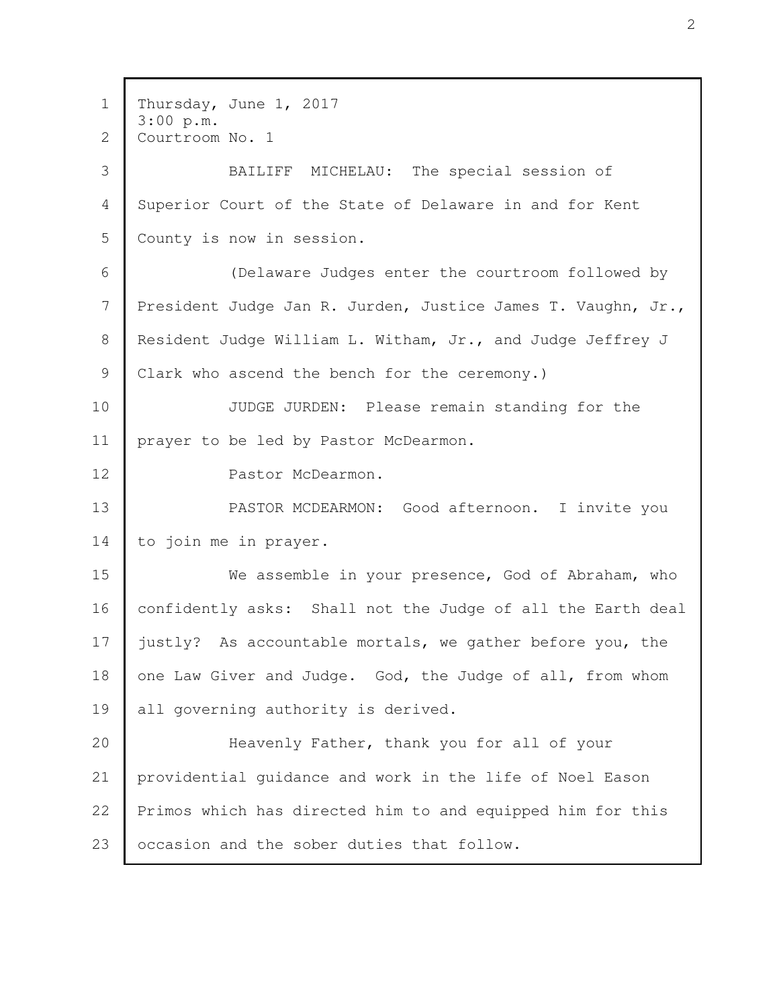Thursday, June 1, 2017 3:00 p.m. Courtroom No. 1 BAILIFF MICHELAU: The special session of Superior Court of the State of Delaware in and for Kent County is now in session. (Delaware Judges enter the courtroom followed by President Judge Jan R. Jurden, Justice James T. Vaughn, Jr., Resident Judge William L. Witham, Jr., and Judge Jeffrey J Clark who ascend the bench for the ceremony.) JUDGE JURDEN: Please remain standing for the prayer to be led by Pastor McDearmon. Pastor McDearmon. PASTOR MCDEARMON: Good afternoon. I invite you to join me in prayer. We assemble in your presence, God of Abraham, who confidently asks: Shall not the Judge of all the Earth deal justly? As accountable mortals, we gather before you, the one Law Giver and Judge. God, the Judge of all, from whom all governing authority is derived. Heavenly Father, thank you for all of your providential guidance and work in the life of Noel Eason Primos which has directed him to and equipped him for this occasion and the sober duties that follow. 1 2 3 4 5 6 7 8 9 10 11 12 13 14 15 16 17 18 19 20 21 22 23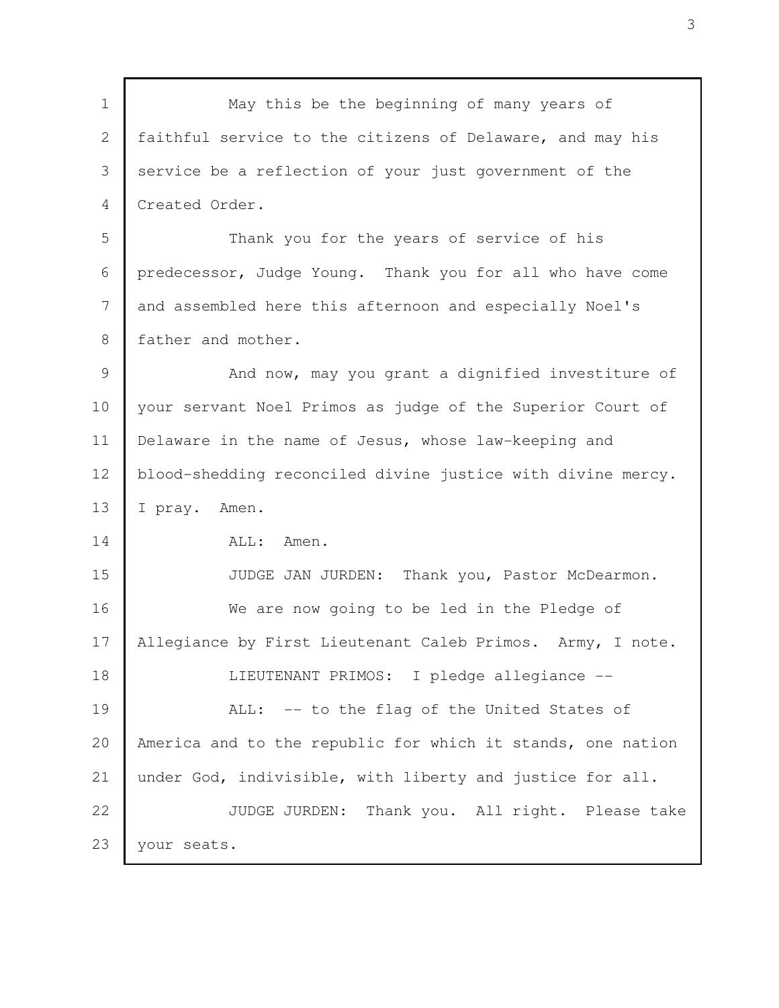May this be the beginning of many years of faithful service to the citizens of Delaware, and may his service be a reflection of your just government of the Created Order. Thank you for the years of service of his predecessor, Judge Young. Thank you for all who have come and assembled here this afternoon and especially Noel's father and mother. And now, may you grant a dignified investiture of your servant Noel Primos as judge of the Superior Court of Delaware in the name of Jesus, whose law-keeping and blood-shedding reconciled divine justice with divine mercy. I pray. Amen. ALL: Amen. JUDGE JAN JURDEN: Thank you, Pastor McDearmon. We are now going to be led in the Pledge of Allegiance by First Lieutenant Caleb Primos. Army, I note. LIEUTENANT PRIMOS: I pledge allegiance -- ALL: -- to the flag of the United States of America and to the republic for which it stands, one nation under God, indivisible, with liberty and justice for all. JUDGE JURDEN: Thank you. All right. Please take your seats. 1 2 3 4 5 6 7 8 9 10 11 12 13 14 15 16 17 18 19 20 21 22 23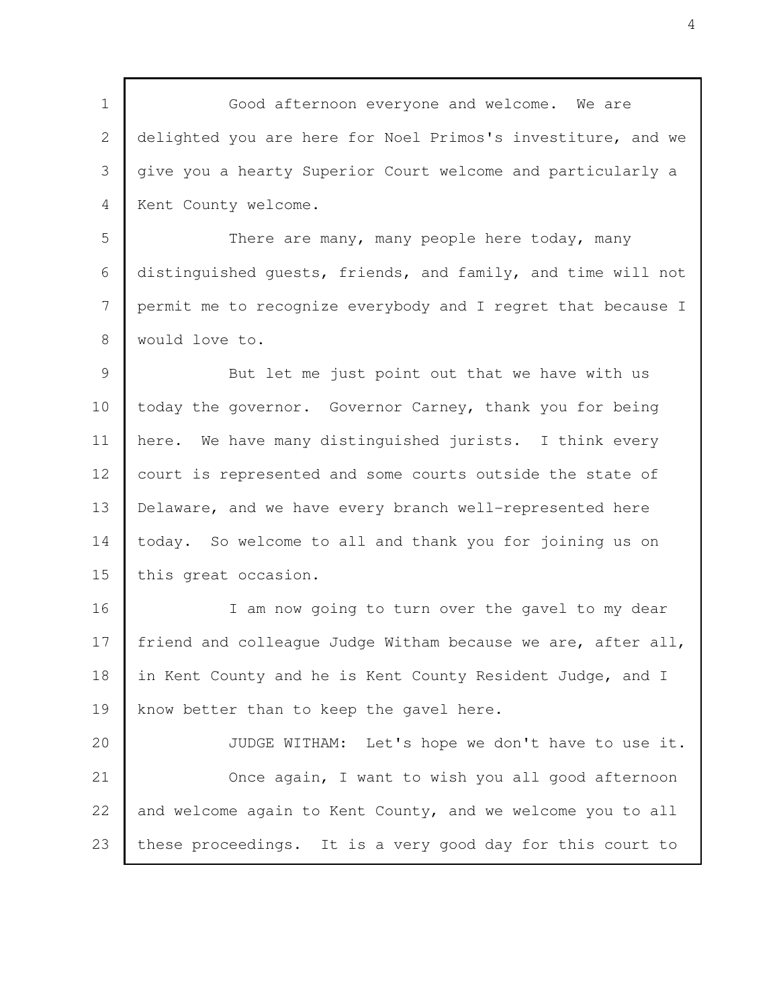Good afternoon everyone and welcome. We are delighted you are here for Noel Primos's investiture, and we give you a hearty Superior Court welcome and particularly a Kent County welcome. There are many, many people here today, many distinguished guests, friends, and family, and time will not permit me to recognize everybody and I regret that because I would love to. But let me just point out that we have with us today the governor. Governor Carney, thank you for being here. We have many distinguished jurists. I think every court is represented and some courts outside the state of Delaware, and we have every branch well-represented here today. So welcome to all and thank you for joining us on this great occasion. I am now going to turn over the gavel to my dear friend and colleague Judge Witham because we are, after all, in Kent County and he is Kent County Resident Judge, and I know better than to keep the gavel here. JUDGE WITHAM: Let's hope we don't have to use it. Once again, I want to wish you all good afternoon and welcome again to Kent County, and we welcome you to all these proceedings. It is a very good day for this court to 1 2 3 4 5 6 7 8 9 10 11 12 13 14 15 16 17 18 19 20 21 22 23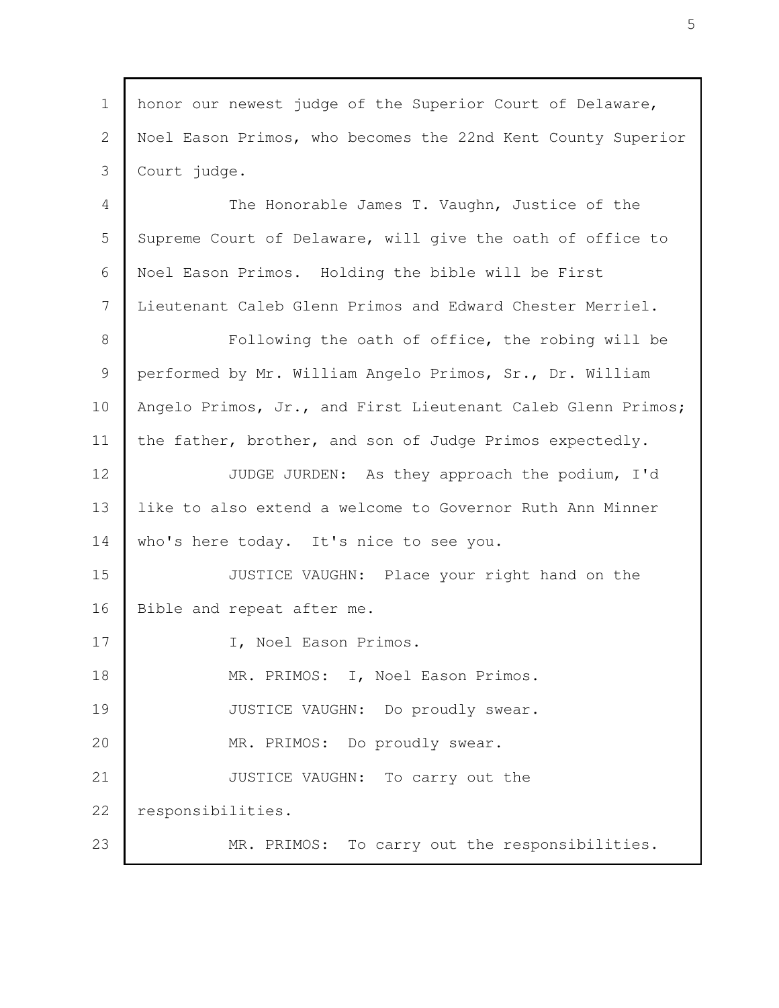honor our newest judge of the Superior Court of Delaware, Noel Eason Primos, who becomes the 22nd Kent County Superior Court judge. The Honorable James T. Vaughn, Justice of the Supreme Court of Delaware, will give the oath of office to Noel Eason Primos. Holding the bible will be First Lieutenant Caleb Glenn Primos and Edward Chester Merriel. Following the oath of office, the robing will be performed by Mr. William Angelo Primos, Sr., Dr. William Angelo Primos, Jr., and First Lieutenant Caleb Glenn Primos; the father, brother, and son of Judge Primos expectedly. JUDGE JURDEN: As they approach the podium, I'd like to also extend a welcome to Governor Ruth Ann Minner who's here today. It's nice to see you. JUSTICE VAUGHN: Place your right hand on the Bible and repeat after me. I, Noel Eason Primos. MR. PRIMOS: I, Noel Eason Primos. JUSTICE VAUGHN: Do proudly swear. MR. PRIMOS: Do proudly swear. JUSTICE VAUGHN: To carry out the responsibilities. MR. PRIMOS: To carry out the responsibilities. 1 2 3 4 5 6 7 8 9 10 11 12 13 14 15 16 17 18 19 20 21 22 23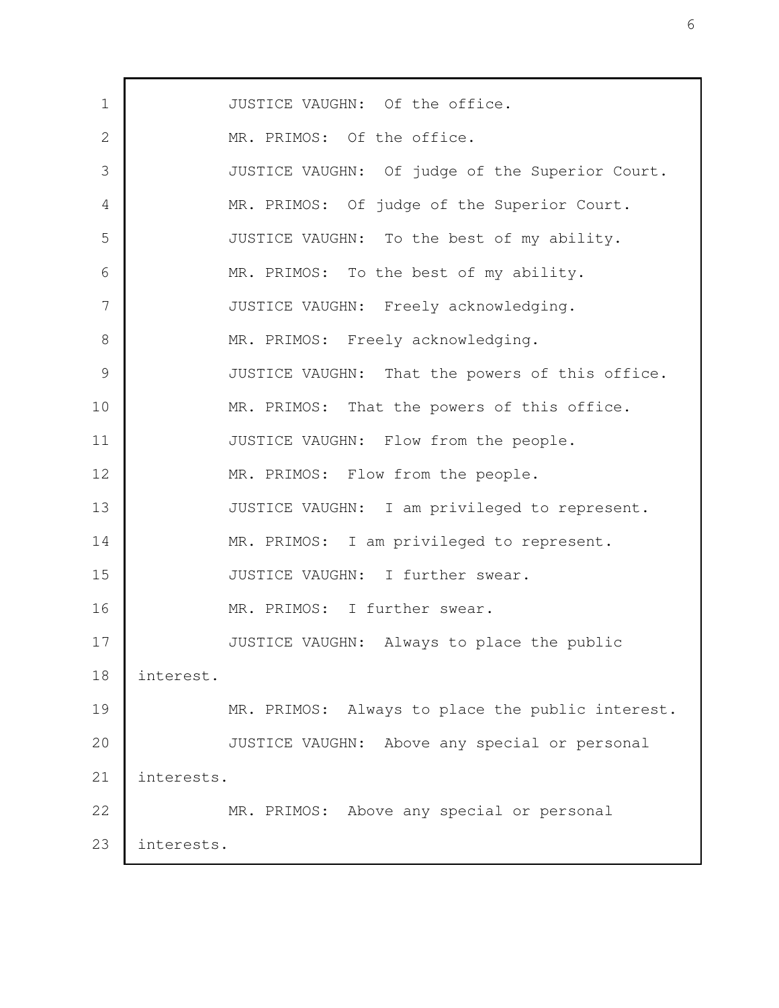| $\mathbf 1$   | JUSTICE VAUGHN: Of the office.                   |
|---------------|--------------------------------------------------|
| 2             | MR. PRIMOS: Of the office.                       |
| 3             | JUSTICE VAUGHN: Of judge of the Superior Court.  |
| 4             | MR. PRIMOS: Of judge of the Superior Court.      |
| 5             | JUSTICE VAUGHN: To the best of my ability.       |
| 6             | MR. PRIMOS: To the best of my ability.           |
| 7             | JUSTICE VAUGHN: Freely acknowledging.            |
| 8             | MR. PRIMOS: Freely acknowledging.                |
| $\mathcal{G}$ | JUSTICE VAUGHN: That the powers of this office.  |
| 10            | MR. PRIMOS: That the powers of this office.      |
| 11            | JUSTICE VAUGHN: Flow from the people.            |
| 12            | MR. PRIMOS: Flow from the people.                |
| 13            | JUSTICE VAUGHN: I am privileged to represent.    |
| 14            | MR. PRIMOS: I am privileged to represent.        |
| 15            | JUSTICE VAUGHN: I further swear.                 |
| 16            | MR. PRIMOS: I further swear.                     |
| 17            | JUSTICE VAUGHN: Always to place the public       |
| 18            | interest.                                        |
| 19            | MR. PRIMOS: Always to place the public interest. |
| 20            | JUSTICE VAUGHN: Above any special or personal    |
| 21            | interests.                                       |
| 22            | MR. PRIMOS: Above any special or personal        |
| 23            | interests.                                       |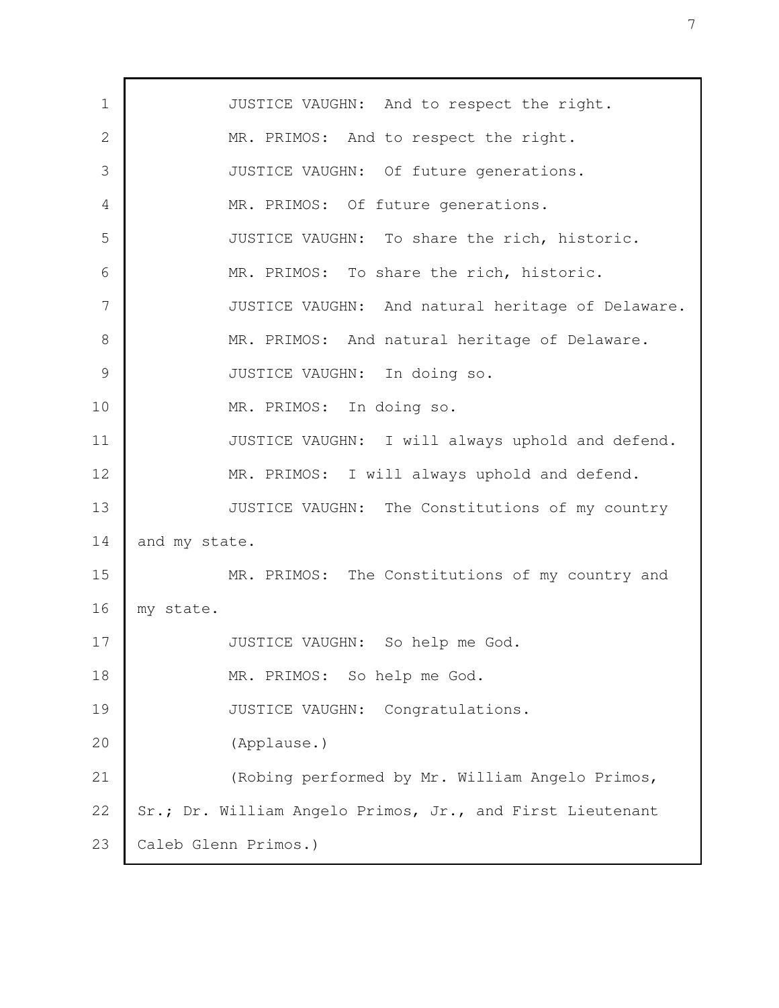JUSTICE VAUGHN: And to respect the right. MR. PRIMOS: And to respect the right. JUSTICE VAUGHN: Of future generations. MR. PRIMOS: Of future generations. JUSTICE VAUGHN: To share the rich, historic. MR. PRIMOS: To share the rich, historic. JUSTICE VAUGHN: And natural heritage of Delaware. MR. PRIMOS: And natural heritage of Delaware. JUSTICE VAUGHN: In doing so. MR. PRIMOS: In doing so. JUSTICE VAUGHN: I will always uphold and defend. MR. PRIMOS: I will always uphold and defend. JUSTICE VAUGHN: The Constitutions of my country and my state. MR. PRIMOS: The Constitutions of my country and my state. JUSTICE VAUGHN: So help me God. MR. PRIMOS: So help me God. JUSTICE VAUGHN: Congratulations. (Applause.) (Robing performed by Mr. William Angelo Primos, Sr.; Dr. William Angelo Primos, Jr., and First Lieutenant Caleb Glenn Primos.) 1 2 3 4 5 6 7 8 9 10 11 12 13 14 15 16 17 18 19 20 21 22 23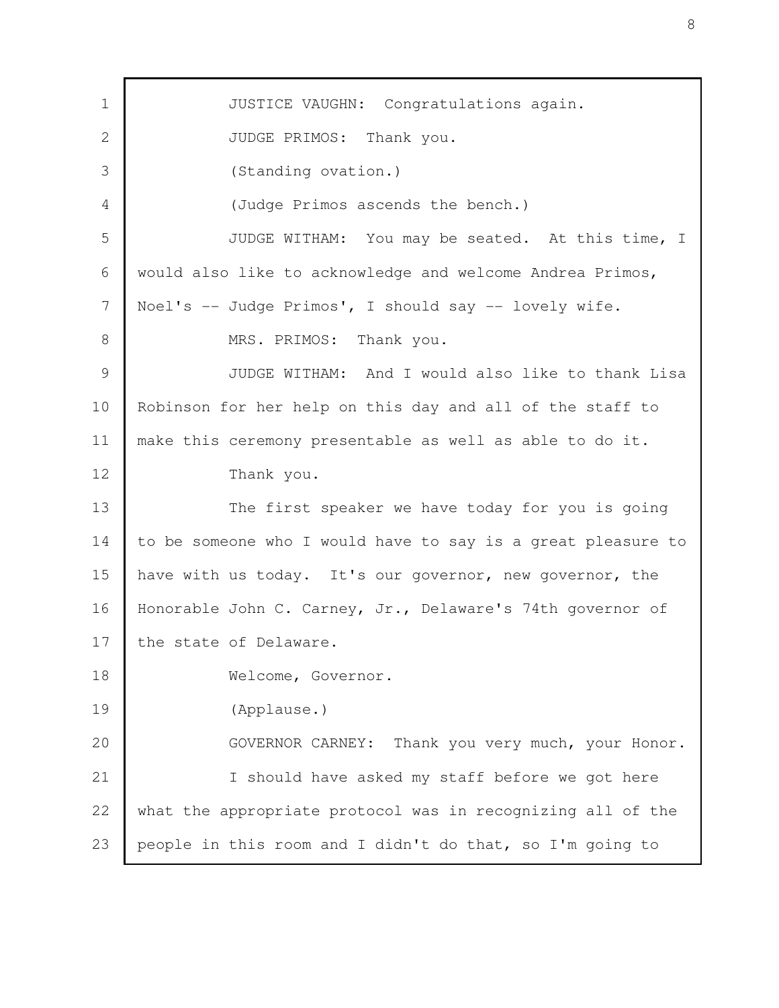JUSTICE VAUGHN: Congratulations again. JUDGE PRIMOS: Thank you. (Standing ovation.) (Judge Primos ascends the bench.) JUDGE WITHAM: You may be seated. At this time, I would also like to acknowledge and welcome Andrea Primos, Noel's -- Judge Primos', I should say -- lovely wife. MRS. PRIMOS: Thank you. JUDGE WITHAM: And I would also like to thank Lisa Robinson for her help on this day and all of the staff to make this ceremony presentable as well as able to do it. Thank you. The first speaker we have today for you is going to be someone who I would have to say is a great pleasure to have with us today. It's our governor, new governor, the Honorable John C. Carney, Jr., Delaware's 74th governor of the state of Delaware. Welcome, Governor. (Applause.) GOVERNOR CARNEY: Thank you very much, your Honor. I should have asked my staff before we got here what the appropriate protocol was in recognizing all of the people in this room and I didn't do that, so I'm going to 1 2 3 4 5 6 7 8 9 10 11 12 13 14 15 16 17 18 19 20 21 22 23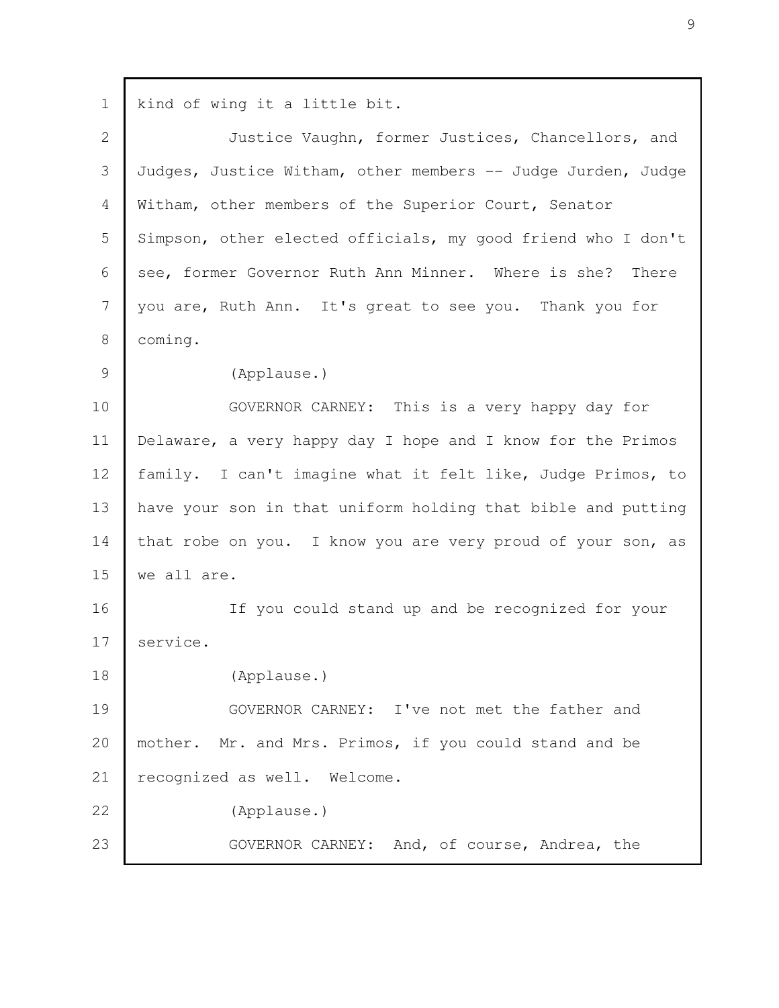kind of wing it a little bit. Justice Vaughn, former Justices, Chancellors, and Judges, Justice Witham, other members -- Judge Jurden, Judge Witham, other members of the Superior Court, Senator Simpson, other elected officials, my good friend who I don't see, former Governor Ruth Ann Minner. Where is she? There you are, Ruth Ann. It's great to see you. Thank you for coming. (Applause.) GOVERNOR CARNEY: This is a very happy day for Delaware, a very happy day I hope and I know for the Primos family. I can't imagine what it felt like, Judge Primos, to have your son in that uniform holding that bible and putting that robe on you. I know you are very proud of your son, as we all are. If you could stand up and be recognized for your service. (Applause.) GOVERNOR CARNEY: I've not met the father and mother. Mr. and Mrs. Primos, if you could stand and be recognized as well. Welcome. (Applause.) GOVERNOR CARNEY: And, of course, Andrea, the 1 2 3 4 5 6 7 8 9 10 11 12 13 14 15 16 17 18 19 20 21 22 23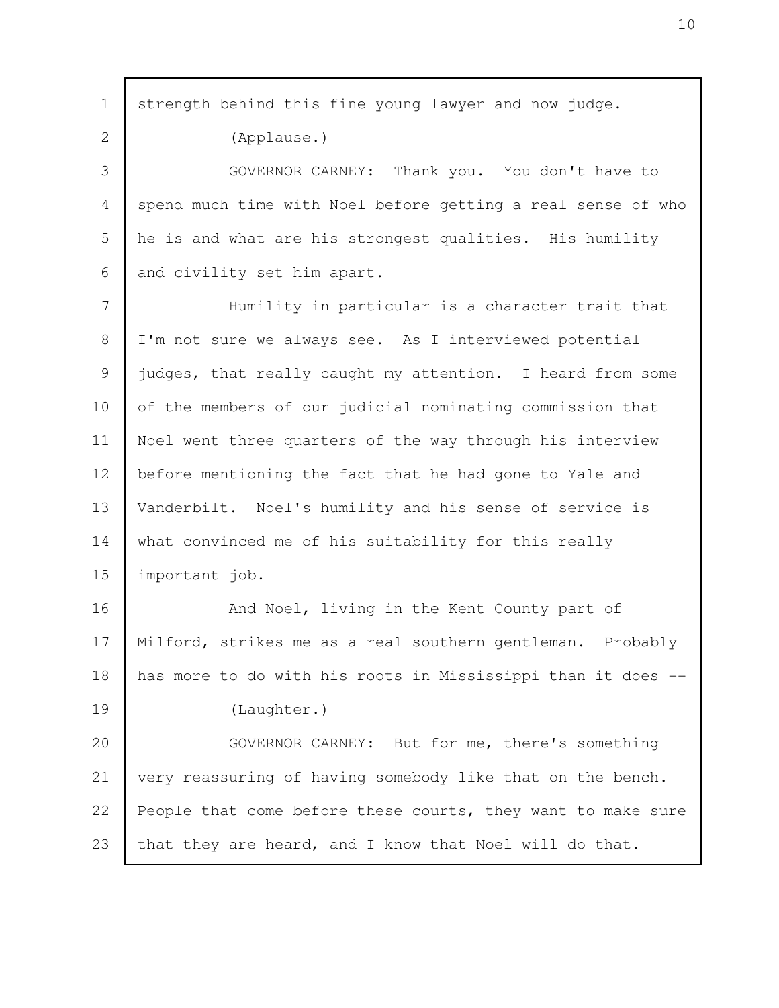| $\mathbf 1$ | strength behind this fine young lawyer and now judge.        |
|-------------|--------------------------------------------------------------|
| 2           | (Applause.)                                                  |
| 3           | GOVERNOR CARNEY: Thank you. You don't have to                |
| 4           | spend much time with Noel before getting a real sense of who |
| 5           | he is and what are his strongest qualities. His humility     |
| 6           | and civility set him apart.                                  |
| 7           | Humility in particular is a character trait that             |
| 8           | I'm not sure we always see. As I interviewed potential       |
| 9           | judges, that really caught my attention. I heard from some   |
| 10          | of the members of our judicial nominating commission that    |
| 11          | Noel went three quarters of the way through his interview    |
| 12          | before mentioning the fact that he had gone to Yale and      |
| 13          | Vanderbilt. Noel's humility and his sense of service is      |
| 14          | what convinced me of his suitability for this really         |
| 15          | important job.                                               |
| 16          | And Noel, living in the Kent County part of                  |
| 17          | Milford, strikes me as a real southern gentleman. Probably   |
| 18          | has more to do with his roots in Mississippi than it does -- |
| 19          | (Laughter.)                                                  |
| 20          | GOVERNOR CARNEY: But for me, there's something               |
| 21          | very reassuring of having somebody like that on the bench.   |
| 22          | People that come before these courts, they want to make sure |
| 23          | that they are heard, and I know that Noel will do that.      |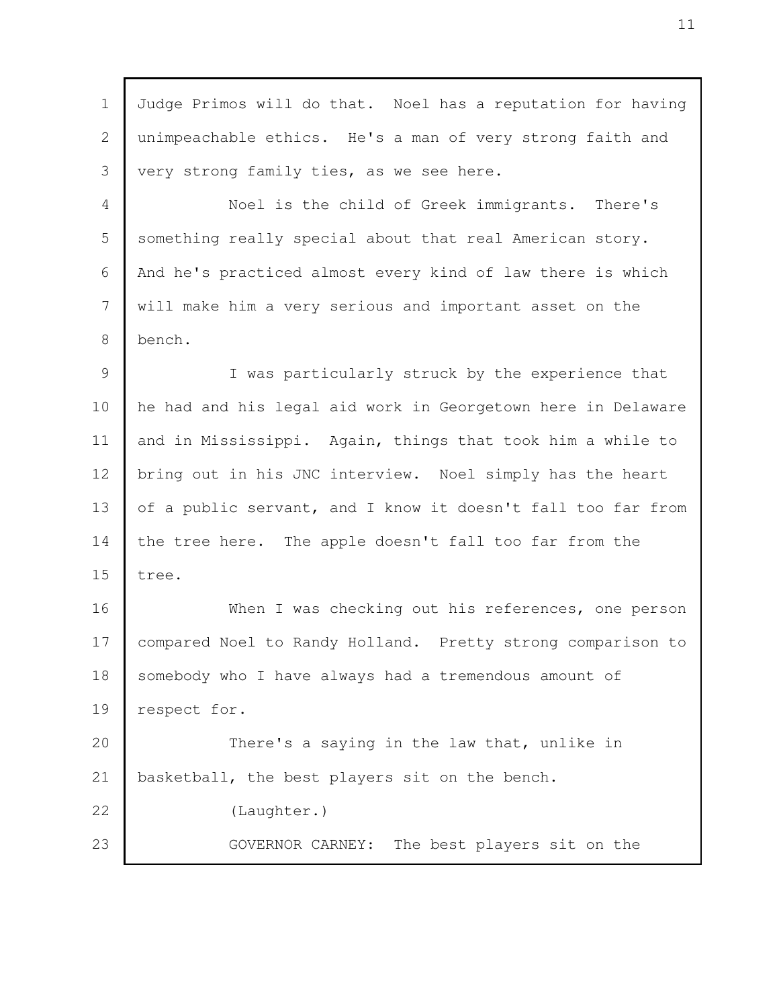| Judge Primos will do that. Noel has a reputation for having  |
|--------------------------------------------------------------|
| unimpeachable ethics. He's a man of very strong faith and    |
| very strong family ties, as we see here.                     |
| Noel is the child of Greek immigrants. There's               |
| something really special about that real American story.     |
| And he's practiced almost every kind of law there is which   |
| will make him a very serious and important asset on the      |
| bench.                                                       |
| I was particularly struck by the experience that             |
| he had and his legal aid work in Georgetown here in Delaware |
| and in Mississippi. Again, things that took him a while to   |
| bring out in his JNC interview. Noel simply has the heart    |
| of a public servant, and I know it doesn't fall too far from |
| the tree here. The apple doesn't fall too far from the       |
| tree.                                                        |
| When I was checking out his references, one person           |
| compared Noel to Randy Holland. Pretty strong comparison to  |
| somebody who I have always had a tremendous amount of        |
| respect for.                                                 |
| There's a saying in the law that, unlike in                  |
| basketball, the best players sit on the bench.               |
| (Laughter.)                                                  |
| GOVERNOR CARNEY: The best players sit on the                 |
|                                                              |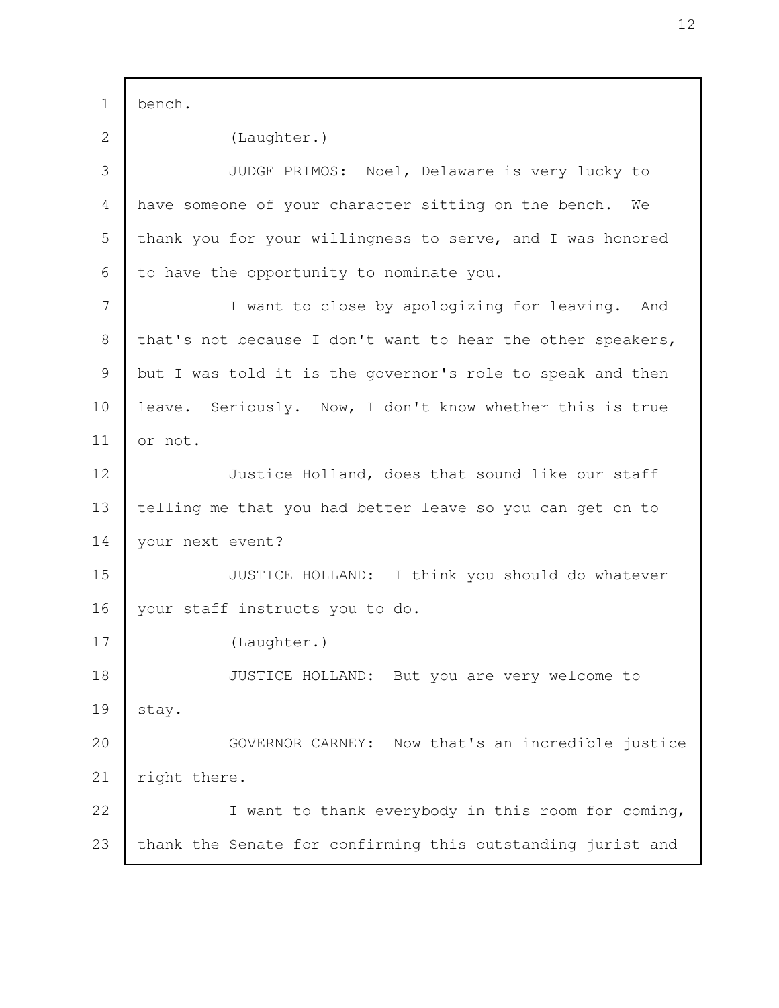bench. (Laughter.) JUDGE PRIMOS: Noel, Delaware is very lucky to have someone of your character sitting on the bench. We thank you for your willingness to serve, and I was honored to have the opportunity to nominate you. I want to close by apologizing for leaving. And that's not because I don't want to hear the other speakers, but I was told it is the governor's role to speak and then leave. Seriously. Now, I don't know whether this is true or not. Justice Holland, does that sound like our staff telling me that you had better leave so you can get on to your next event? JUSTICE HOLLAND: I think you should do whatever your staff instructs you to do. (Laughter.) JUSTICE HOLLAND: But you are very welcome to stay. GOVERNOR CARNEY: Now that's an incredible justice right there. I want to thank everybody in this room for coming, thank the Senate for confirming this outstanding jurist and 1 2 3 4 5 6 7 8 9 10 11 12 13 14 15 16 17 18 19 20 21 22 23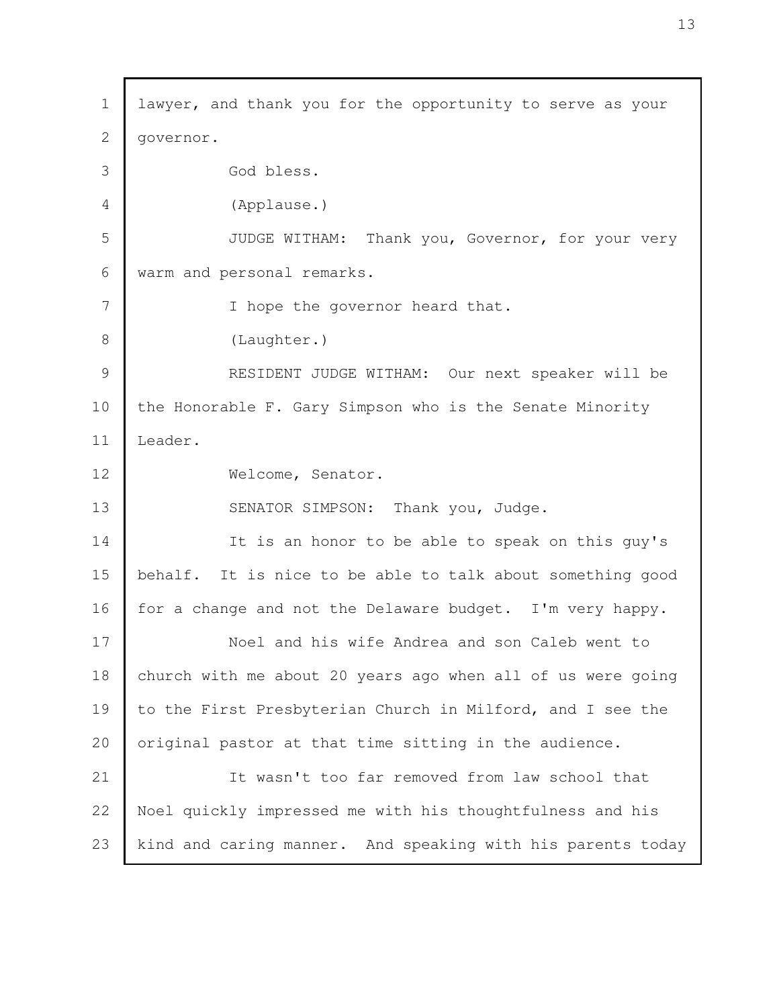lawyer, and thank you for the opportunity to serve as your governor. God bless. (Applause.) JUDGE WITHAM: Thank you, Governor, for your very warm and personal remarks. I hope the governor heard that. (Laughter.) RESIDENT JUDGE WITHAM: Our next speaker will be the Honorable F. Gary Simpson who is the Senate Minority Leader. Welcome, Senator. SENATOR SIMPSON: Thank you, Judge. It is an honor to be able to speak on this guy's behalf. It is nice to be able to talk about something good for a change and not the Delaware budget. I'm very happy. Noel and his wife Andrea and son Caleb went to church with me about 20 years ago when all of us were going to the First Presbyterian Church in Milford, and I see the original pastor at that time sitting in the audience. It wasn't too far removed from law school that Noel quickly impressed me with his thoughtfulness and his kind and caring manner. And speaking with his parents today 1 2 3 4 5 6 7 8 9 10 11 12 13 14 15 16 17 18 19 20 21 22 23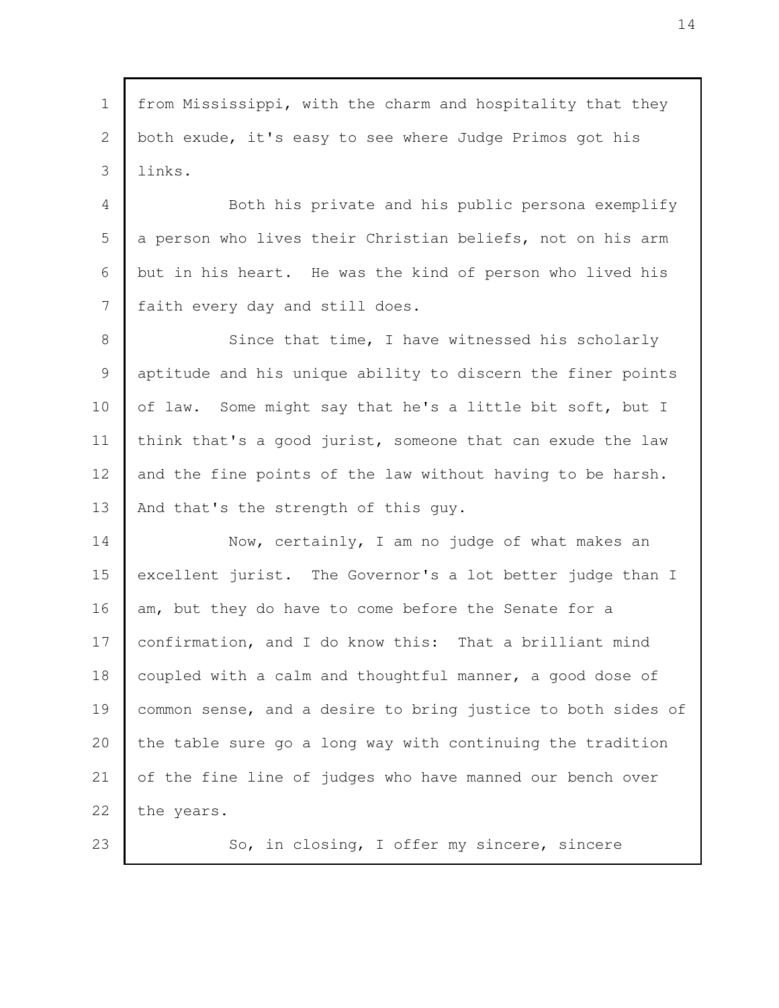from Mississippi, with the charm and hospitality that they both exude, it's easy to see where Judge Primos got his links. 1 2 3

Both his private and his public persona exemplify a person who lives their Christian beliefs, not on his arm but in his heart. He was the kind of person who lived his faith every day and still does. 4 5 6 7

Since that time, I have witnessed his scholarly aptitude and his unique ability to discern the finer points of law. Some might say that he's a little bit soft, but I think that's a good jurist, someone that can exude the law and the fine points of the law without having to be harsh. And that's the strength of this guy. 8 9 10 11 12 13

Now, certainly, I am no judge of what makes an excellent jurist. The Governor's a lot better judge than I am, but they do have to come before the Senate for a confirmation, and I do know this: That a brilliant mind coupled with a calm and thoughtful manner, a good dose of common sense, and a desire to bring justice to both sides of the table sure go a long way with continuing the tradition of the fine line of judges who have manned our bench over the years. 14 15 16 17 18 19 20 21 22

23

So, in closing, I offer my sincere, sincere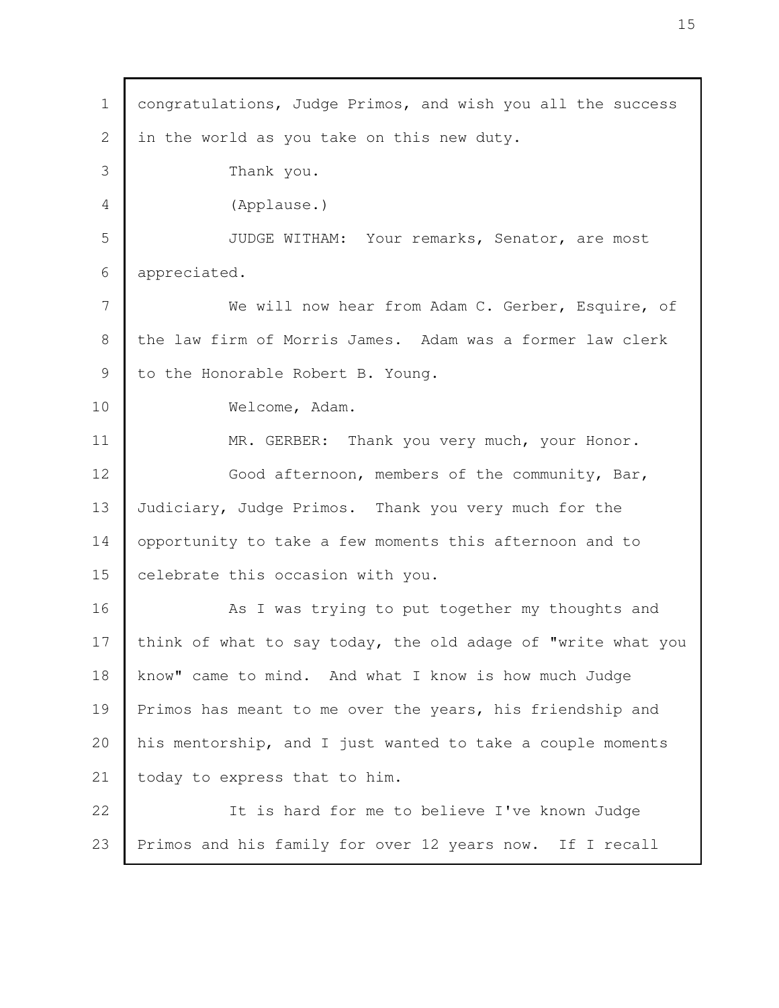congratulations, Judge Primos, and wish you all the success in the world as you take on this new duty. Thank you. (Applause.) JUDGE WITHAM: Your remarks, Senator, are most appreciated. We will now hear from Adam C. Gerber, Esquire, of the law firm of Morris James. Adam was a former law clerk to the Honorable Robert B. Young. Welcome, Adam. MR. GERBER: Thank you very much, your Honor. Good afternoon, members of the community, Bar, Judiciary, Judge Primos. Thank you very much for the opportunity to take a few moments this afternoon and to celebrate this occasion with you. As I was trying to put together my thoughts and think of what to say today, the old adage of "write what you know" came to mind. And what I know is how much Judge Primos has meant to me over the years, his friendship and his mentorship, and I just wanted to take a couple moments today to express that to him. It is hard for me to believe I've known Judge Primos and his family for over 12 years now. If I recall 1 2 3 4 5 6 7 8 9 10 11 12 13 14 15 16 17 18 19 20 21 22 23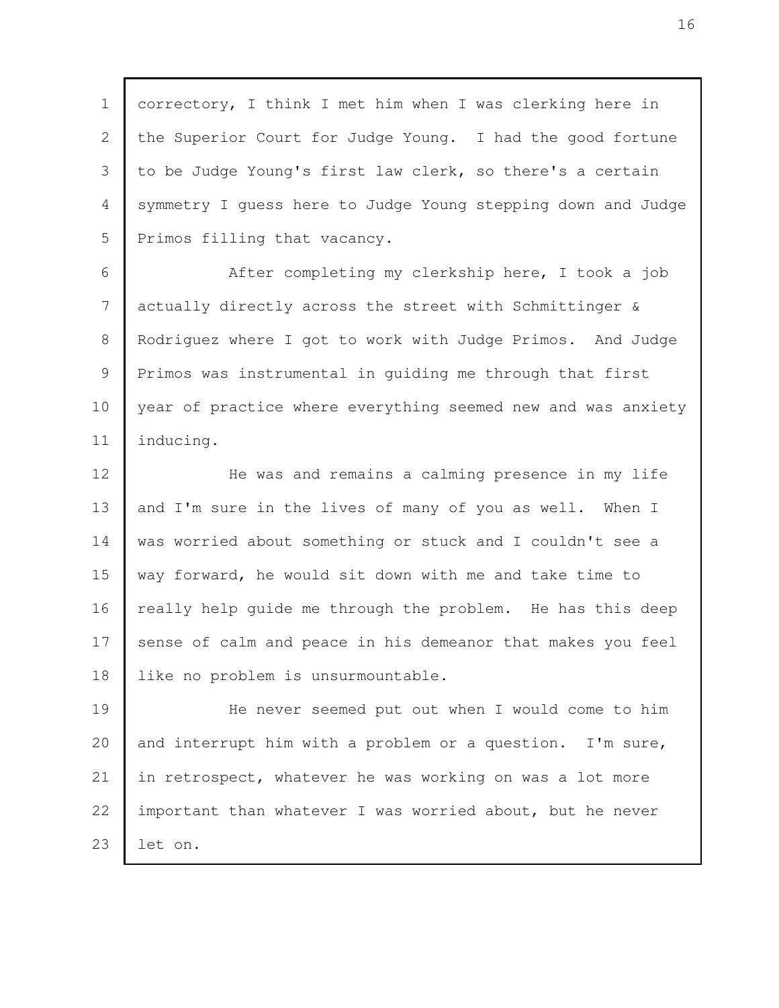correctory, I think I met him when I was clerking here in the Superior Court for Judge Young. I had the good fortune to be Judge Young's first law clerk, so there's a certain symmetry I guess here to Judge Young stepping down and Judge Primos filling that vacancy. After completing my clerkship here, I took a job actually directly across the street with Schmittinger & Rodriguez where I got to work with Judge Primos. And Judge Primos was instrumental in guiding me through that first year of practice where everything seemed new and was anxiety inducing. He was and remains a calming presence in my life and I'm sure in the lives of many of you as well. When I was worried about something or stuck and I couldn't see a way forward, he would sit down with me and take time to really help guide me through the problem. He has this deep sense of calm and peace in his demeanor that makes you feel like no problem is unsurmountable. He never seemed put out when I would come to him and interrupt him with a problem or a question. I'm sure, in retrospect, whatever he was working on was a lot more important than whatever I was worried about, but he never let on. 1 2 3 4 5 6 7 8 9 10 11 12 13 14 15 16 17 18 19 20 21 22 23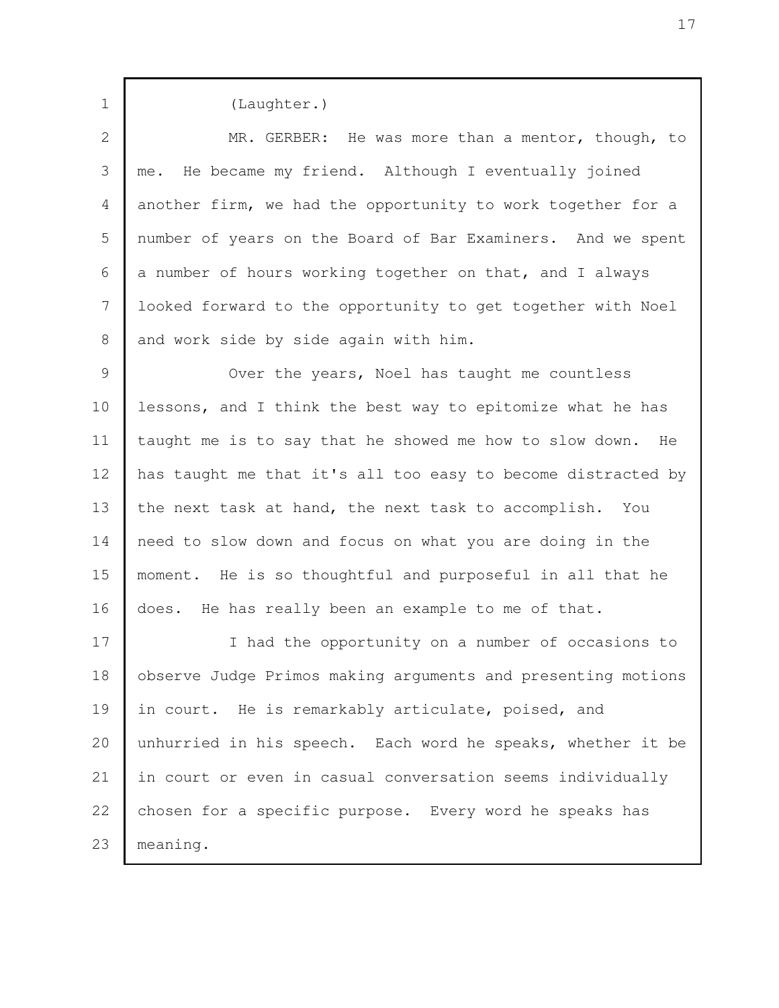(Laughter.) MR. GERBER: He was more than a mentor, though, to me. He became my friend. Although I eventually joined another firm, we had the opportunity to work together for a number of years on the Board of Bar Examiners. And we spent a number of hours working together on that, and I always looked forward to the opportunity to get together with Noel and work side by side again with him. Over the years, Noel has taught me countless lessons, and I think the best way to epitomize what he has taught me is to say that he showed me how to slow down. He has taught me that it's all too easy to become distracted by the next task at hand, the next task to accomplish. You need to slow down and focus on what you are doing in the moment. He is so thoughtful and purposeful in all that he does. He has really been an example to me of that. I had the opportunity on a number of occasions to observe Judge Primos making arguments and presenting motions in court. He is remarkably articulate, poised, and unhurried in his speech. Each word he speaks, whether it be in court or even in casual conversation seems individually chosen for a specific purpose. Every word he speaks has meaning. 1 2 3 4 5 6 7 8 9 10 11 12 13 14 15 16 17 18 19 20 21 22 23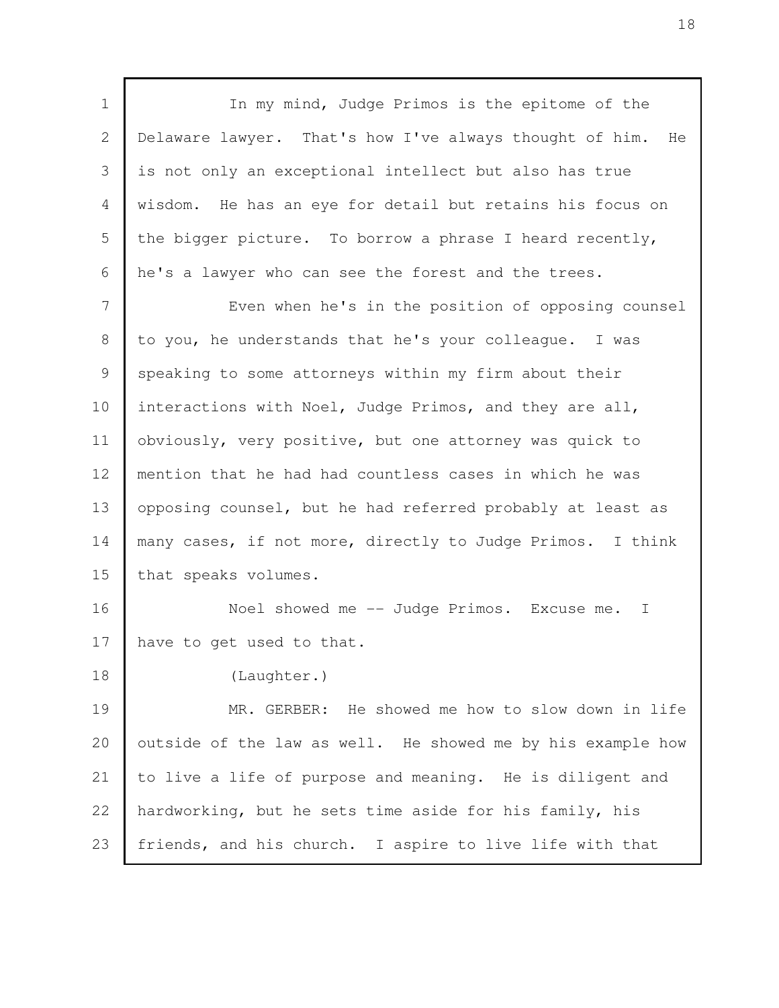In my mind, Judge Primos is the epitome of the Delaware lawyer. That's how I've always thought of him. He is not only an exceptional intellect but also has true wisdom. He has an eye for detail but retains his focus on the bigger picture. To borrow a phrase I heard recently, he's a lawyer who can see the forest and the trees. Even when he's in the position of opposing counsel to you, he understands that he's your colleague. I was speaking to some attorneys within my firm about their interactions with Noel, Judge Primos, and they are all, obviously, very positive, but one attorney was quick to mention that he had had countless cases in which he was opposing counsel, but he had referred probably at least as many cases, if not more, directly to Judge Primos. I think that speaks volumes. Noel showed me -- Judge Primos. Excuse me. I have to get used to that. (Laughter.) MR. GERBER: He showed me how to slow down in life outside of the law as well. He showed me by his example how to live a life of purpose and meaning. He is diligent and hardworking, but he sets time aside for his family, his friends, and his church. I aspire to live life with that 1 2 3 4 5 6 7 8 9 10 11 12 13 14 15 16 17 18 19 20 21 22 23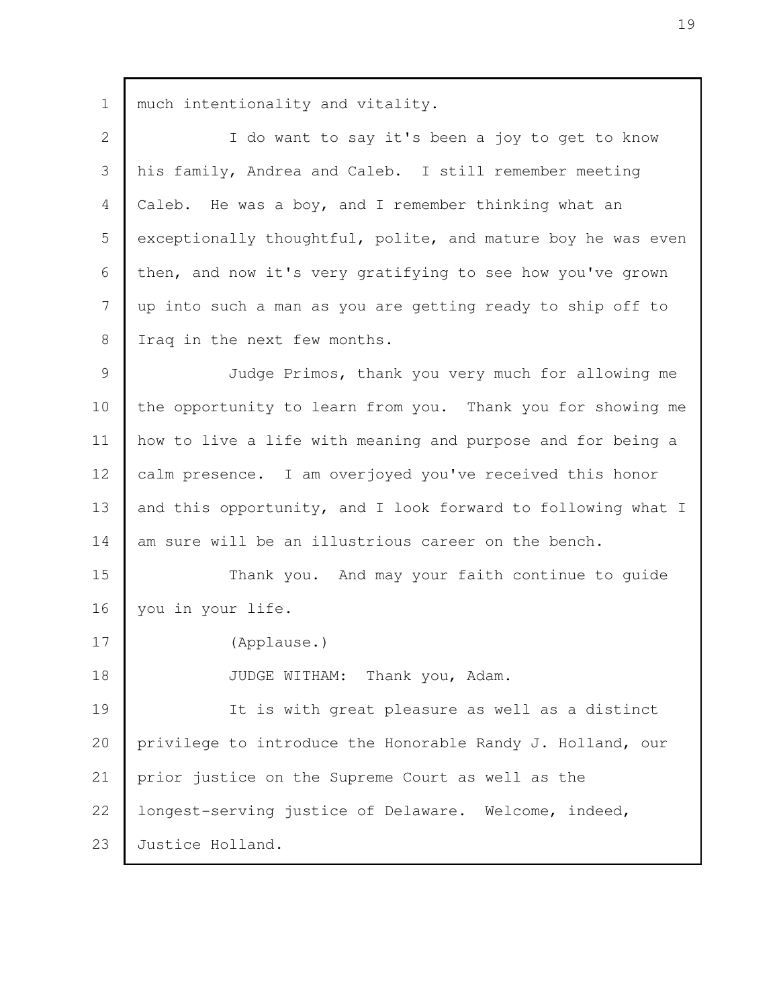much intentionality and vitality. I do want to say it's been a joy to get to know his family, Andrea and Caleb. I still remember meeting Caleb. He was a boy, and I remember thinking what an exceptionally thoughtful, polite, and mature boy he was even then, and now it's very gratifying to see how you've grown up into such a man as you are getting ready to ship off to Iraq in the next few months. Judge Primos, thank you very much for allowing me the opportunity to learn from you. Thank you for showing me how to live a life with meaning and purpose and for being a calm presence. I am overjoyed you've received this honor and this opportunity, and I look forward to following what I am sure will be an illustrious career on the bench. Thank you. And may your faith continue to guide you in your life. (Applause.) JUDGE WITHAM: Thank you, Adam. It is with great pleasure as well as a distinct privilege to introduce the Honorable Randy J. Holland, our prior justice on the Supreme Court as well as the longest-serving justice of Delaware. Welcome, indeed, Justice Holland. 1 2 3 4 5 6 7 8 9 10 11 12 13 14 15 16 17 18 19 20 21 22 23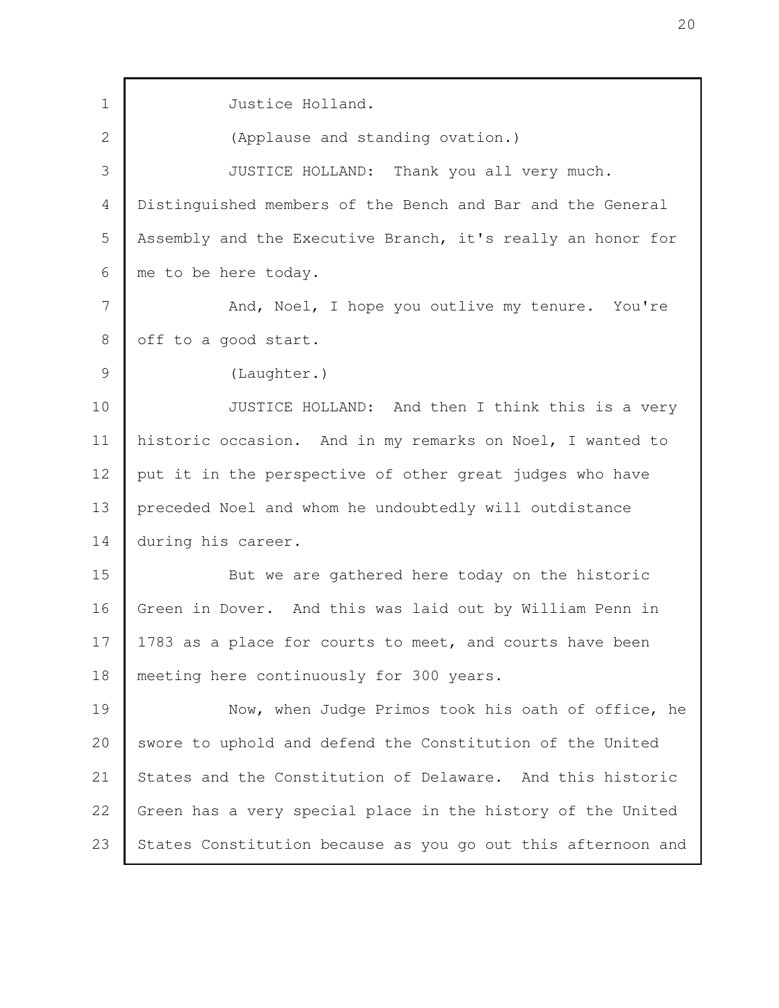Justice Holland. (Applause and standing ovation.) JUSTICE HOLLAND: Thank you all very much. Distinguished members of the Bench and Bar and the General Assembly and the Executive Branch, it's really an honor for me to be here today. And, Noel, I hope you outlive my tenure. You're off to a good start. (Laughter.) JUSTICE HOLLAND: And then I think this is a very historic occasion. And in my remarks on Noel, I wanted to put it in the perspective of other great judges who have preceded Noel and whom he undoubtedly will outdistance during his career. But we are gathered here today on the historic Green in Dover. And this was laid out by William Penn in 1783 as a place for courts to meet, and courts have been meeting here continuously for 300 years. Now, when Judge Primos took his oath of office, he swore to uphold and defend the Constitution of the United States and the Constitution of Delaware. And this historic Green has a very special place in the history of the United States Constitution because as you go out this afternoon and 1 2 3 4 5 6 7 8 9 10 11 12 13 14 15 16 17 18 19 20 21 22 23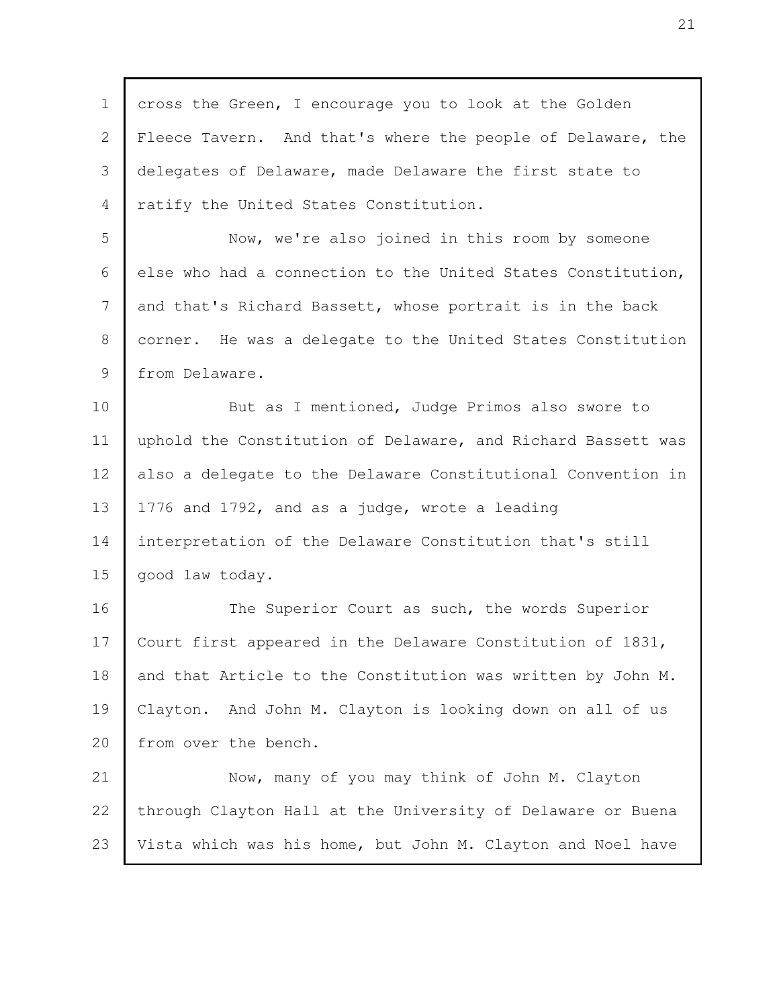cross the Green, I encourage you to look at the Golden Fleece Tavern. And that's where the people of Delaware, the delegates of Delaware, made Delaware the first state to ratify the United States Constitution. Now, we're also joined in this room by someone else who had a connection to the United States Constitution, and that's Richard Bassett, whose portrait is in the back corner. He was a delegate to the United States Constitution from Delaware. But as I mentioned, Judge Primos also swore to uphold the Constitution of Delaware, and Richard Bassett was also a delegate to the Delaware Constitutional Convention in 1776 and 1792, and as a judge, wrote a leading interpretation of the Delaware Constitution that's still good law today. The Superior Court as such, the words Superior Court first appeared in the Delaware Constitution of 1831, and that Article to the Constitution was written by John M. Clayton. And John M. Clayton is looking down on all of us from over the bench. Now, many of you may think of John M. Clayton through Clayton Hall at the University of Delaware or Buena Vista which was his home, but John M. Clayton and Noel have 1 2 3 4 5 6 7 8 9 10 11 12 13 14 15 16 17 18 19 20 21 22 23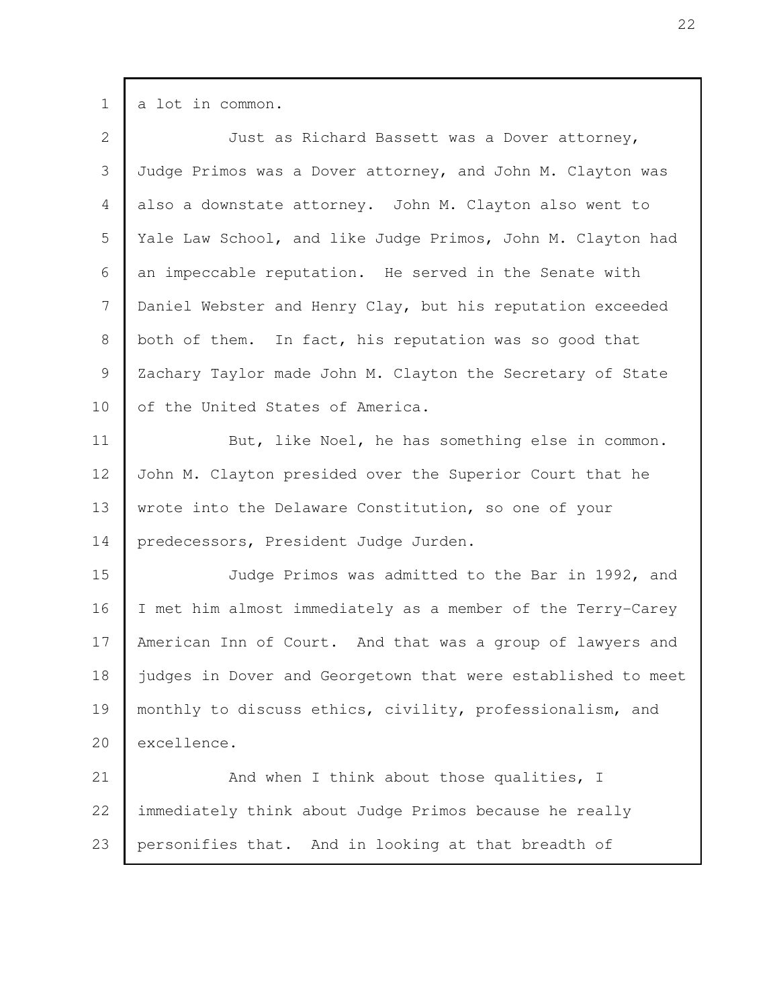| $\mathbf 1$    | a lot in common.                                             |
|----------------|--------------------------------------------------------------|
| $\mathbf{2}$   | Just as Richard Bassett was a Dover attorney,                |
| 3              | Judge Primos was a Dover attorney, and John M. Clayton was   |
| $\overline{4}$ | also a downstate attorney. John M. Clayton also went to      |
| 5              | Yale Law School, and like Judge Primos, John M. Clayton had  |
| 6              | an impeccable reputation. He served in the Senate with       |
| $7\phantom{.}$ | Daniel Webster and Henry Clay, but his reputation exceeded   |
| $8\,$          | both of them. In fact, his reputation was so good that       |
| 9              | Zachary Taylor made John M. Clayton the Secretary of State   |
| 10             | of the United States of America.                             |
| 11             | But, like Noel, he has something else in common.             |
| 12             | John M. Clayton presided over the Superior Court that he     |
| 13             | wrote into the Delaware Constitution, so one of your         |
| 14             | predecessors, President Judge Jurden.                        |
| 15             | Judge Primos was admitted to the Bar in 1992, and            |
| 16             | I met him almost immediately as a member of the Terry-Carey  |
| 17             | American Inn of Court. And that was a group of lawyers and   |
| 18             | judges in Dover and Georgetown that were established to meet |
| 19             | monthly to discuss ethics, civility, professionalism, and    |
| 20             | excellence.                                                  |
| 21             | And when I think about those qualities, I                    |
| 22             | immediately think about Judge Primos because he really       |
| 23             | personifies that. And in looking at that breadth of          |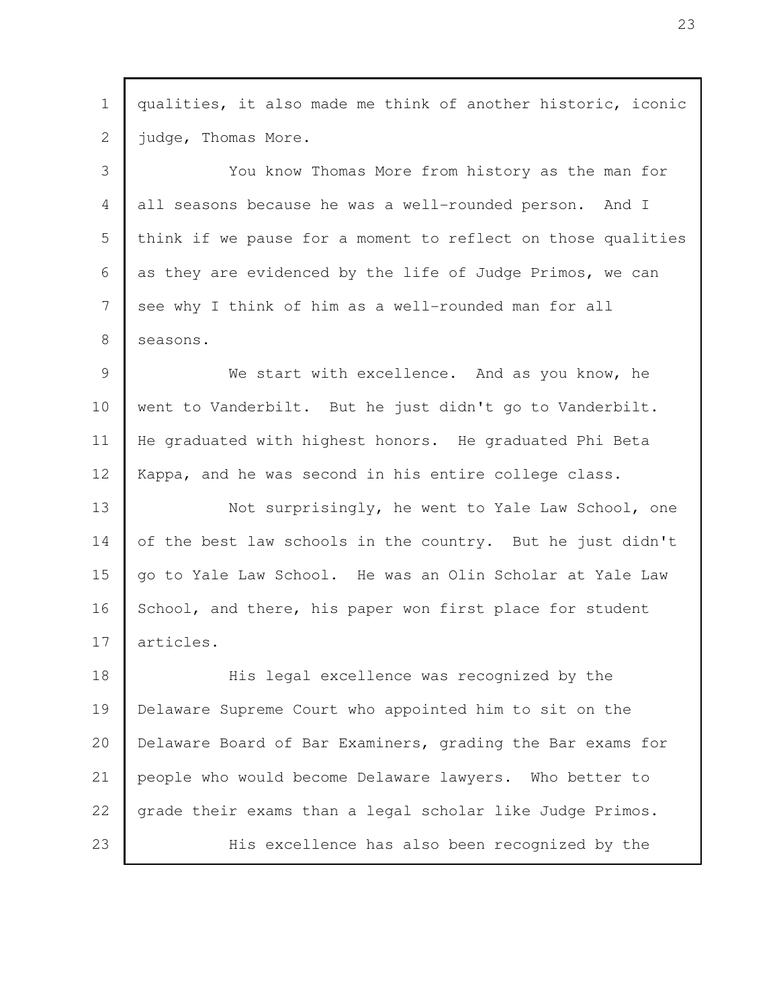| qualities, it also made me think of another historic, iconic |
|--------------------------------------------------------------|
| judge, Thomas More.                                          |
| You know Thomas More from history as the man for             |
| all seasons because he was a well-rounded person. And I      |
| think if we pause for a moment to reflect on those qualities |
| as they are evidenced by the life of Judge Primos, we can    |
| see why I think of him as a well-rounded man for all         |
| seasons.                                                     |
| We start with excellence. And as you know, he                |
| went to Vanderbilt. But he just didn't go to Vanderbilt.     |
| He graduated with highest honors. He graduated Phi Beta      |
| Kappa, and he was second in his entire college class.        |
| Not surprisingly, he went to Yale Law School, one            |
| of the best law schools in the country. But he just didn't   |
| go to Yale Law School. He was an Olin Scholar at Yale Law    |
| School, and there, his paper won first place for student     |
| articles.                                                    |
| His legal excellence was recognized by the                   |
| Delaware Supreme Court who appointed him to sit on the       |
| Delaware Board of Bar Examiners, grading the Bar exams for   |
| people who would become Delaware lawyers. Who better to      |
| grade their exams than a legal scholar like Judge Primos.    |
| His excellence has also been recognized by the               |
|                                                              |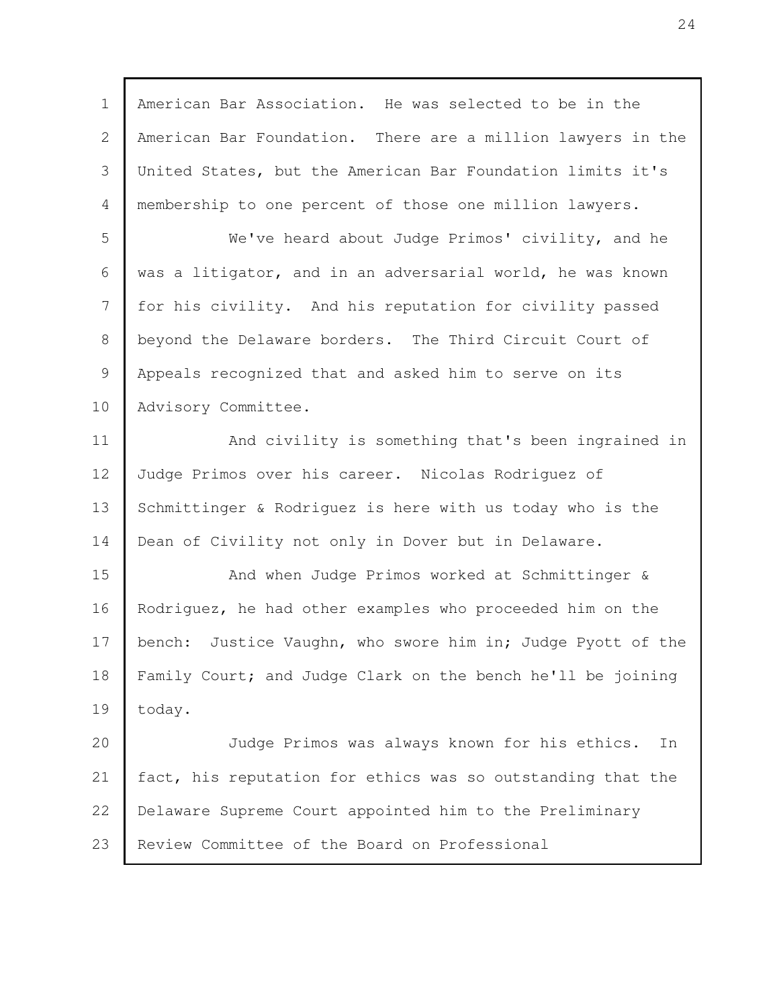American Bar Association. He was selected to be in the American Bar Foundation. There are a million lawyers in the United States, but the American Bar Foundation limits it's membership to one percent of those one million lawyers. We've heard about Judge Primos' civility, and he was a litigator, and in an adversarial world, he was known for his civility. And his reputation for civility passed beyond the Delaware borders. The Third Circuit Court of Appeals recognized that and asked him to serve on its Advisory Committee. And civility is something that's been ingrained in Judge Primos over his career. Nicolas Rodriguez of Schmittinger & Rodriguez is here with us today who is the Dean of Civility not only in Dover but in Delaware. And when Judge Primos worked at Schmittinger & Rodriguez, he had other examples who proceeded him on the bench: Justice Vaughn, who swore him in; Judge Pyott of the Family Court; and Judge Clark on the bench he'll be joining today. Judge Primos was always known for his ethics. In fact, his reputation for ethics was so outstanding that the Delaware Supreme Court appointed him to the Preliminary Review Committee of the Board on Professional 1 2 3 4 5 6 7 8 9 10 11 12 13 14 15 16 17 18 19 20 21 22 23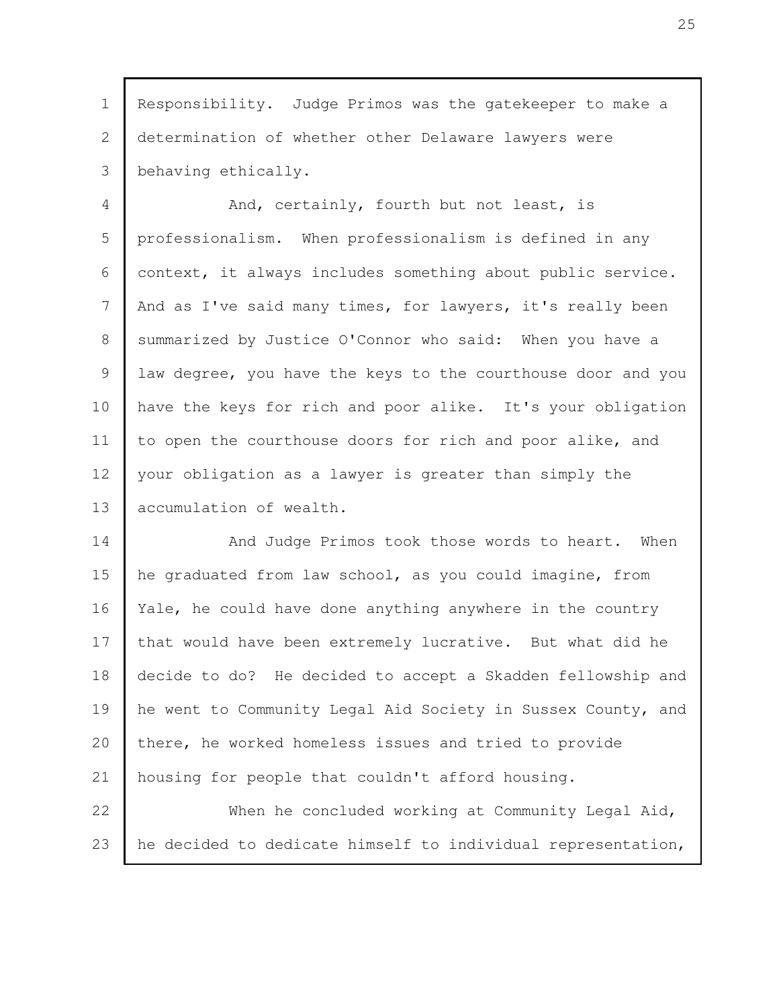Responsibility. Judge Primos was the gatekeeper to make a determination of whether other Delaware lawyers were behaving ethically. 1 2 3

And, certainly, fourth but not least, is professionalism. When professionalism is defined in any context, it always includes something about public service. And as I've said many times, for lawyers, it's really been summarized by Justice O'Connor who said: When you have a law degree, you have the keys to the courthouse door and you have the keys for rich and poor alike. It's your obligation to open the courthouse doors for rich and poor alike, and your obligation as a lawyer is greater than simply the accumulation of wealth. 4 5 6 7 8 9 10 11 12 13

And Judge Primos took those words to heart. When he graduated from law school, as you could imagine, from Yale, he could have done anything anywhere in the country that would have been extremely lucrative. But what did he decide to do? He decided to accept a Skadden fellowship and he went to Community Legal Aid Society in Sussex County, and there, he worked homeless issues and tried to provide housing for people that couldn't afford housing. When he concluded working at Community Legal Aid, 14 15 16 17 18 19 20 21 22

he decided to dedicate himself to individual representation, 23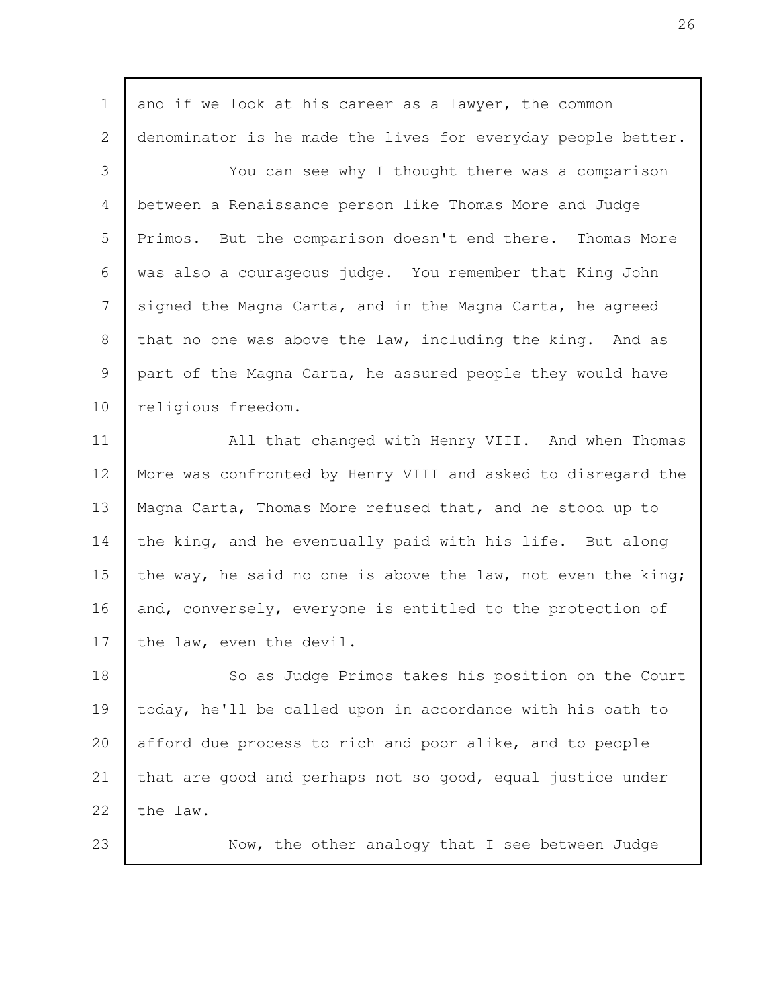| $\mathbf 1$    | and if we look at his career as a lawyer, the common         |
|----------------|--------------------------------------------------------------|
| $\overline{2}$ | denominator is he made the lives for everyday people better. |
| 3              | You can see why I thought there was a comparison             |
| 4              | between a Renaissance person like Thomas More and Judge      |
| 5              | Primos. But the comparison doesn't end there. Thomas More    |
| 6              | was also a courageous judge. You remember that King John     |
| 7              | signed the Magna Carta, and in the Magna Carta, he agreed    |
| 8              | that no one was above the law, including the king. And as    |
| 9              | part of the Magna Carta, he assured people they would have   |
| 10             | religious freedom.                                           |
| 11             | All that changed with Henry VIII. And when Thomas            |
| 12             | More was confronted by Henry VIII and asked to disregard the |
| 13             | Magna Carta, Thomas More refused that, and he stood up to    |
| 14             | the king, and he eventually paid with his life. But along    |
| 15             | the way, he said no one is above the law, not even the king; |
| 16             | and, conversely, everyone is entitled to the protection of   |
| 17             | the law, even the devil.                                     |
| 18             | So as Judge Primos takes his position on the Court           |
| 19             | today, he'll be called upon in accordance with his oath to   |
| 20             | afford due process to rich and poor alike, and to people     |
| 21             | that are good and perhaps not so good, equal justice under   |
| 22             | the law.                                                     |
| 23             | Now, the other analogy that I see between Judge              |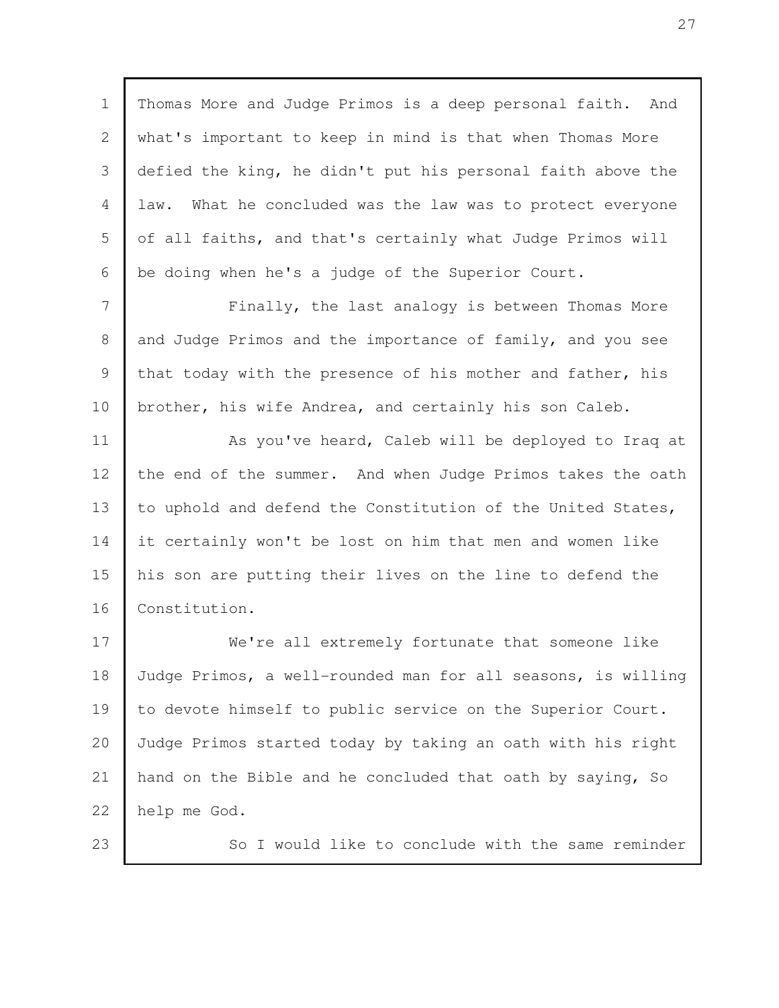Thomas More and Judge Primos is a deep personal faith. And what's important to keep in mind is that when Thomas More defied the king, he didn't put his personal faith above the law. What he concluded was the law was to protect everyone of all faiths, and that's certainly what Judge Primos will be doing when he's a judge of the Superior Court. 1 2 3 4 5 6

Finally, the last analogy is between Thomas More and Judge Primos and the importance of family, and you see that today with the presence of his mother and father, his brother, his wife Andrea, and certainly his son Caleb. 7 8 9 10

As you've heard, Caleb will be deployed to Iraq at the end of the summer. And when Judge Primos takes the oath to uphold and defend the Constitution of the United States, it certainly won't be lost on him that men and women like his son are putting their lives on the line to defend the Constitution. 11 12 13 14 15 16

We're all extremely fortunate that someone like Judge Primos, a well-rounded man for all seasons, is willing to devote himself to public service on the Superior Court. Judge Primos started today by taking an oath with his right hand on the Bible and he concluded that oath by saying, So help me God. 17 18 19 20 21 22

23

So I would like to conclude with the same reminder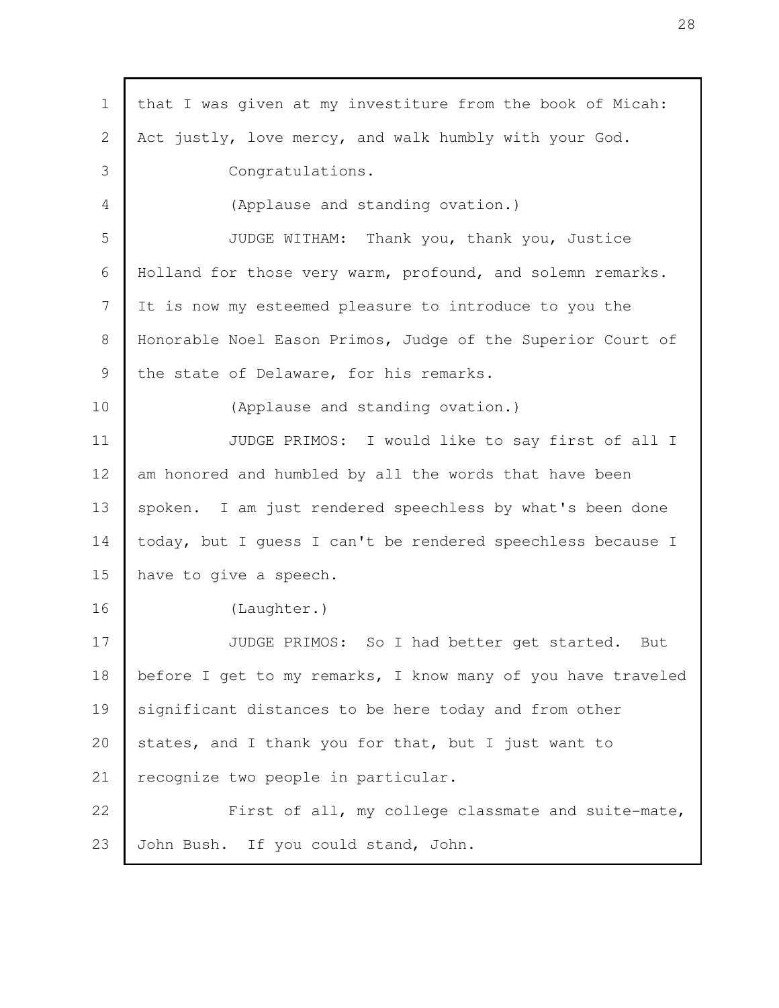| $\mathbf 1$ | that I was given at my investiture from the book of Micah:   |
|-------------|--------------------------------------------------------------|
| 2           | Act justly, love mercy, and walk humbly with your God.       |
| 3           | Congratulations.                                             |
| 4           | (Applause and standing ovation.)                             |
| 5           | JUDGE WITHAM: Thank you, thank you, Justice                  |
| 6           | Holland for those very warm, profound, and solemn remarks.   |
| 7           | It is now my esteemed pleasure to introduce to you the       |
| $8\,$       | Honorable Noel Eason Primos, Judge of the Superior Court of  |
| 9           | the state of Delaware, for his remarks.                      |
| 10          | (Applause and standing ovation.)                             |
| 11          | JUDGE PRIMOS: I would like to say first of all I             |
| 12          | am honored and humbled by all the words that have been       |
| 13          | spoken. I am just rendered speechless by what's been done    |
| 14          | today, but I guess I can't be rendered speechless because I  |
| 15          | have to give a speech.                                       |
| 16          | (Laughter.)                                                  |
| 17          | So I had better get started.<br>JUDGE PRIMOS:<br>But         |
| 18          | before I get to my remarks, I know many of you have traveled |
| 19          | significant distances to be here today and from other        |
| 20          | states, and I thank you for that, but I just want to         |
| 21          | recognize two people in particular.                          |
| 22          | First of all, my college classmate and suite-mate,           |
| 23          | John Bush. If you could stand, John.                         |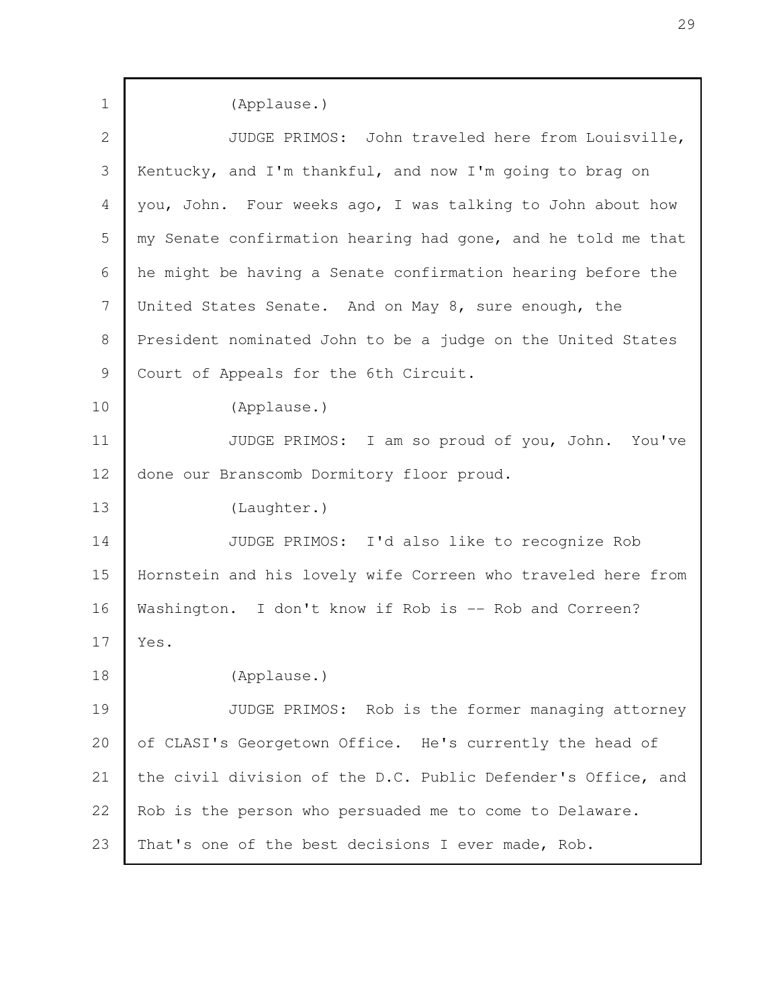| $\mathbf 1$    | (Applause.)                                                  |
|----------------|--------------------------------------------------------------|
| $\overline{2}$ | JUDGE PRIMOS: John traveled here from Louisville,            |
| 3              | Kentucky, and I'm thankful, and now I'm going to brag on     |
| 4              | you, John. Four weeks ago, I was talking to John about how   |
| 5              | my Senate confirmation hearing had gone, and he told me that |
| 6              | he might be having a Senate confirmation hearing before the  |
| 7              | United States Senate. And on May 8, sure enough, the         |
| 8              | President nominated John to be a judge on the United States  |
| 9              | Court of Appeals for the 6th Circuit.                        |
| 10             | (Applause.)                                                  |
| 11             | JUDGE PRIMOS: I am so proud of you, John. You've             |
| 12             | done our Branscomb Dormitory floor proud.                    |
| 13             | (Laughter.)                                                  |
| 14             | JUDGE PRIMOS: I'd also like to recognize Rob                 |
| 15             | Hornstein and his lovely wife Correen who traveled here from |
| 16             | Washington. I don't know if Rob is -- Rob and Correen?       |
| 17             | Yes.                                                         |
| 18             | (Applause.)                                                  |
| 19             | JUDGE PRIMOS: Rob is the former managing attorney            |
| 20             | of CLASI's Georgetown Office. He's currently the head of     |
| 21             | the civil division of the D.C. Public Defender's Office, and |
| 22             | Rob is the person who persuaded me to come to Delaware.      |
| 23             | That's one of the best decisions I ever made, Rob.           |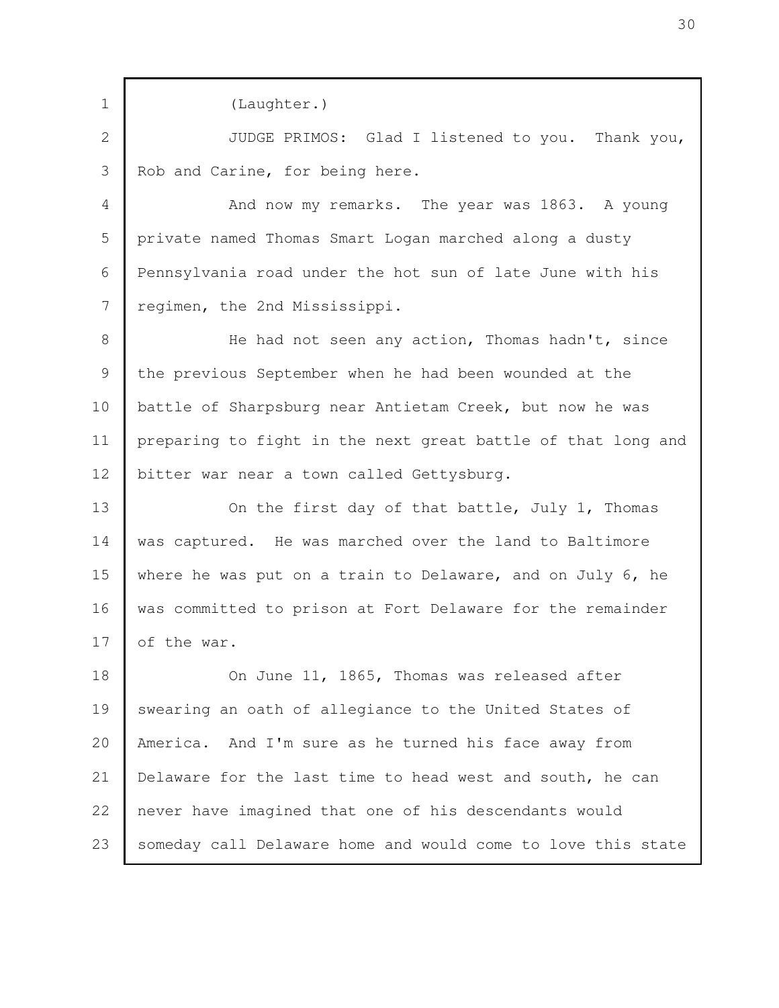(Laughter.) JUDGE PRIMOS: Glad I listened to you. Thank you, Rob and Carine, for being here. And now my remarks. The year was 1863. A young private named Thomas Smart Logan marched along a dusty Pennsylvania road under the hot sun of late June with his regimen, the 2nd Mississippi. He had not seen any action, Thomas hadn't, since the previous September when he had been wounded at the battle of Sharpsburg near Antietam Creek, but now he was preparing to fight in the next great battle of that long and bitter war near a town called Gettysburg. On the first day of that battle, July 1, Thomas was captured. He was marched over the land to Baltimore where he was put on a train to Delaware, and on July 6, he was committed to prison at Fort Delaware for the remainder of the war. On June 11, 1865, Thomas was released after swearing an oath of allegiance to the United States of America. And I'm sure as he turned his face away from Delaware for the last time to head west and south, he can never have imagined that one of his descendants would someday call Delaware home and would come to love this state 1 2 3 4 5 6 7 8 9 10 11 12 13 14 15 16 17 18 19 20 21 22 23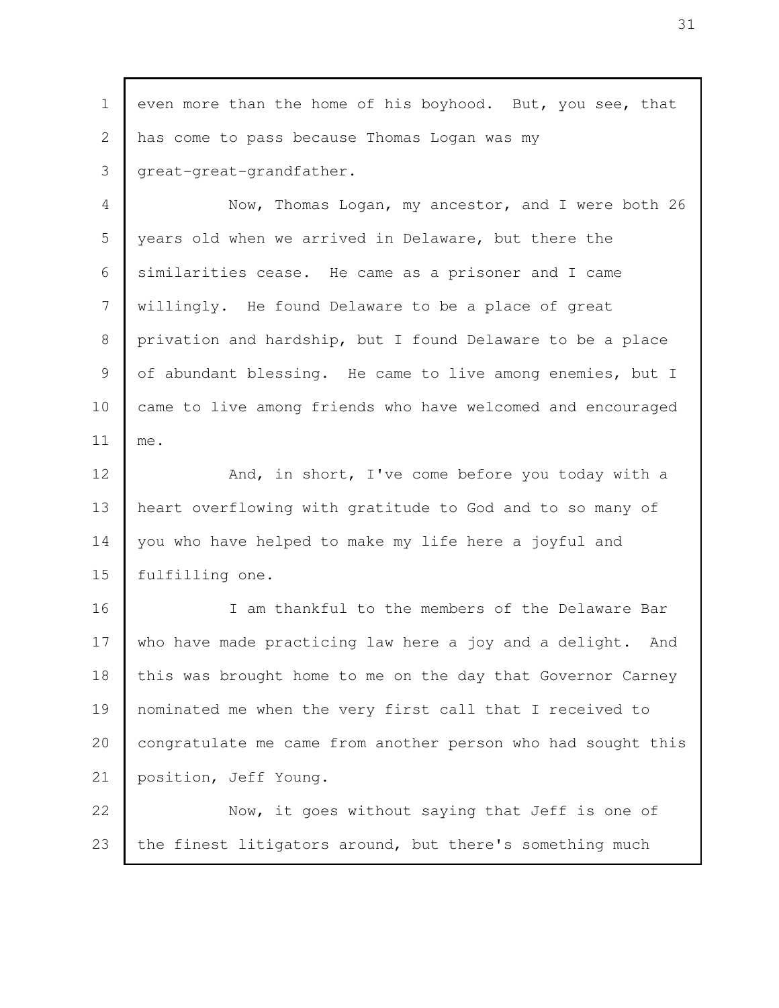| $\mathbf 1$ | even more than the home of his boyhood. But, you see, that    |
|-------------|---------------------------------------------------------------|
| 2           | has come to pass because Thomas Logan was my                  |
| 3           | great-great-grandfather.                                      |
| 4           | Now, Thomas Logan, my ancestor, and I were both 26            |
| 5           | years old when we arrived in Delaware, but there the          |
| 6           | similarities cease. He came as a prisoner and I came          |
| 7           | willingly. He found Delaware to be a place of great           |
| 8           | privation and hardship, but I found Delaware to be a place    |
| 9           | of abundant blessing. He came to live among enemies, but I    |
| 10          | came to live among friends who have welcomed and encouraged   |
| 11          | me.                                                           |
| 12          | And, in short, I've come before you today with a              |
| 13          | heart overflowing with gratitude to God and to so many of     |
| 14          | you who have helped to make my life here a joyful and         |
| 15          | fulfilling one.                                               |
| 16          | I am thankful to the members of the Delaware Bar              |
| 17          | who have made practicing law here a joy and a delight.<br>And |
| 18          | this was brought home to me on the day that Governor Carney   |
| 19          | nominated me when the very first call that I received to      |
| 20          | congratulate me came from another person who had sought this  |
| 21          | position, Jeff Young.                                         |
| 22          | Now, it goes without saying that Jeff is one of               |
| 23          | the finest litigators around, but there's something much      |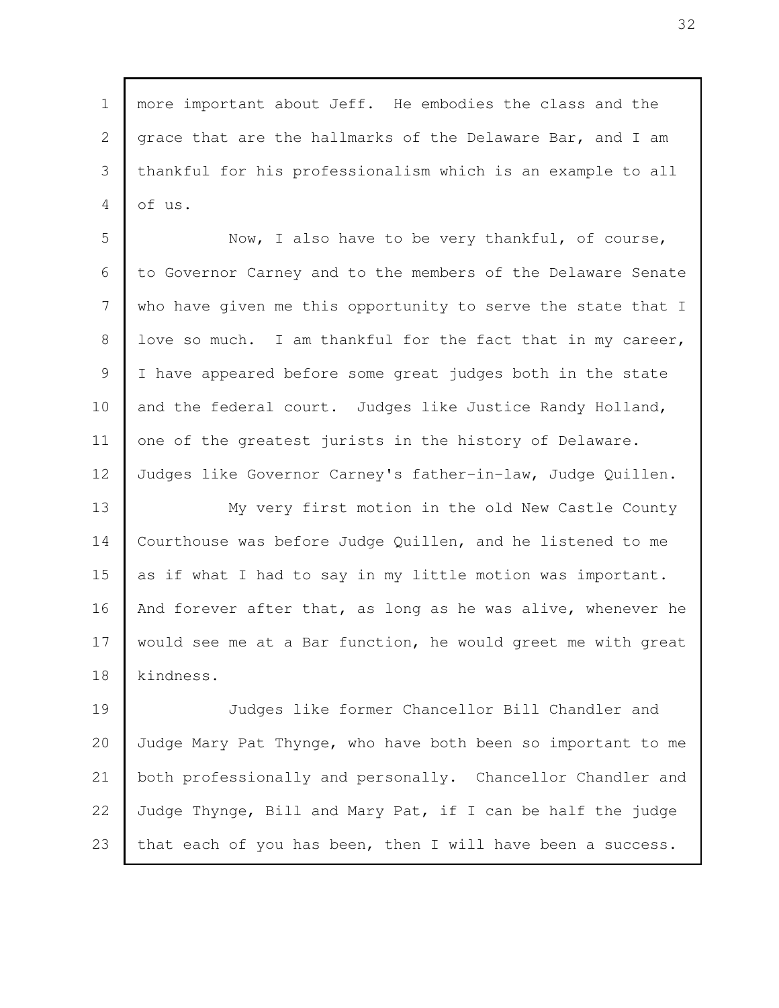more important about Jeff. He embodies the class and the grace that are the hallmarks of the Delaware Bar, and I am thankful for his professionalism which is an example to all of us. 1 2 3 4

Now, I also have to be very thankful, of course, to Governor Carney and to the members of the Delaware Senate who have given me this opportunity to serve the state that I love so much. I am thankful for the fact that in my career, I have appeared before some great judges both in the state and the federal court. Judges like Justice Randy Holland, one of the greatest jurists in the history of Delaware. Judges like Governor Carney's father-in-law, Judge Quillen. 5 6 7 8 9 10 11 12

My very first motion in the old New Castle County Courthouse was before Judge Quillen, and he listened to me as if what I had to say in my little motion was important. And forever after that, as long as he was alive, whenever he would see me at a Bar function, he would greet me with great kindness. 13 14 15 16 17 18

Judges like former Chancellor Bill Chandler and Judge Mary Pat Thynge, who have both been so important to me both professionally and personally. Chancellor Chandler and Judge Thynge, Bill and Mary Pat, if I can be half the judge that each of you has been, then I will have been a success. 19 20 21 22 23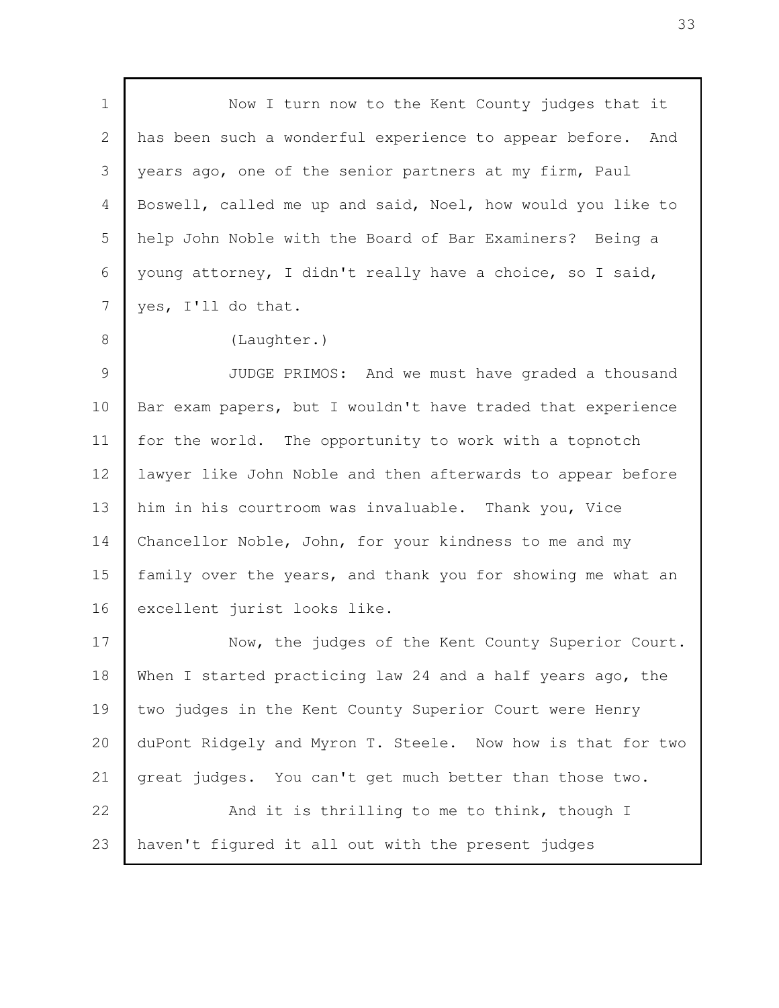Now I turn now to the Kent County judges that it has been such a wonderful experience to appear before. And years ago, one of the senior partners at my firm, Paul Boswell, called me up and said, Noel, how would you like to help John Noble with the Board of Bar Examiners? Being a young attorney, I didn't really have a choice, so I said, yes, I'll do that. (Laughter.) JUDGE PRIMOS: And we must have graded a thousand Bar exam papers, but I wouldn't have traded that experience for the world. The opportunity to work with a topnotch lawyer like John Noble and then afterwards to appear before him in his courtroom was invaluable. Thank you, Vice Chancellor Noble, John, for your kindness to me and my family over the years, and thank you for showing me what an excellent jurist looks like. Now, the judges of the Kent County Superior Court. When I started practicing law 24 and a half years ago, the two judges in the Kent County Superior Court were Henry duPont Ridgely and Myron T. Steele. Now how is that for two great judges. You can't get much better than those two. And it is thrilling to me to think, though I haven't figured it all out with the present judges 1 2 3 4 5 6 7 8 9 10 11 12 13 14 15 16 17 18 19 20 21 22 23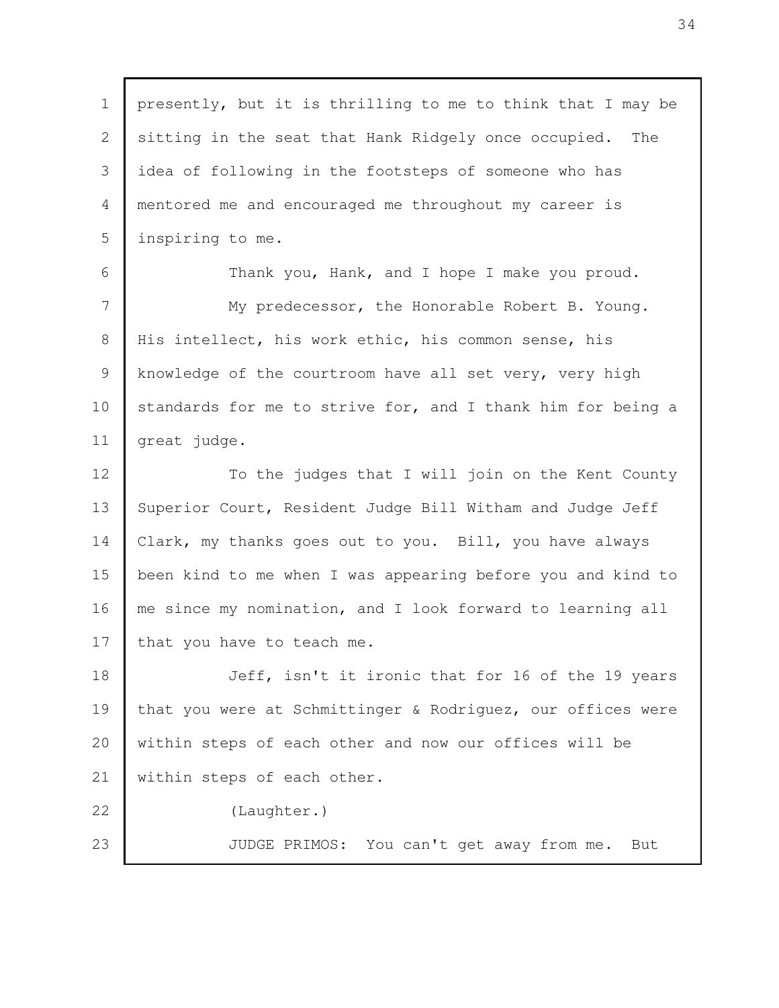| $\mathbf 1$    | presently, but it is thrilling to me to think that I may be |
|----------------|-------------------------------------------------------------|
| $\mathbf{2}$   | sitting in the seat that Hank Ridgely once occupied.<br>The |
| 3              | idea of following in the footsteps of someone who has       |
| 4              | mentored me and encouraged me throughout my career is       |
| 5              | inspiring to me.                                            |
| 6              | Thank you, Hank, and I hope I make you proud.               |
| 7              | My predecessor, the Honorable Robert B. Young.              |
| 8              | His intellect, his work ethic, his common sense, his        |
| $\overline{9}$ | knowledge of the courtroom have all set very, very high     |
| 10             | standards for me to strive for, and I thank him for being a |
| 11             | great judge.                                                |
| 12             | To the judges that I will join on the Kent County           |
| 13             | Superior Court, Resident Judge Bill Witham and Judge Jeff   |
| 14             | Clark, my thanks goes out to you. Bill, you have always     |
| 15             | been kind to me when I was appearing before you and kind to |
| 16             | me since my nomination, and I look forward to learning all  |
| 17             | that you have to teach me.                                  |
| 18             | Jeff, isn't it ironic that for 16 of the 19 years           |
| 19             | that you were at Schmittinger & Rodriguez, our offices were |
| 20             | within steps of each other and now our offices will be      |
| 21             | within steps of each other.                                 |
| 22             | (Laughter.)                                                 |
| 23             | JUDGE PRIMOS: You can't get away from me. But               |
|                |                                                             |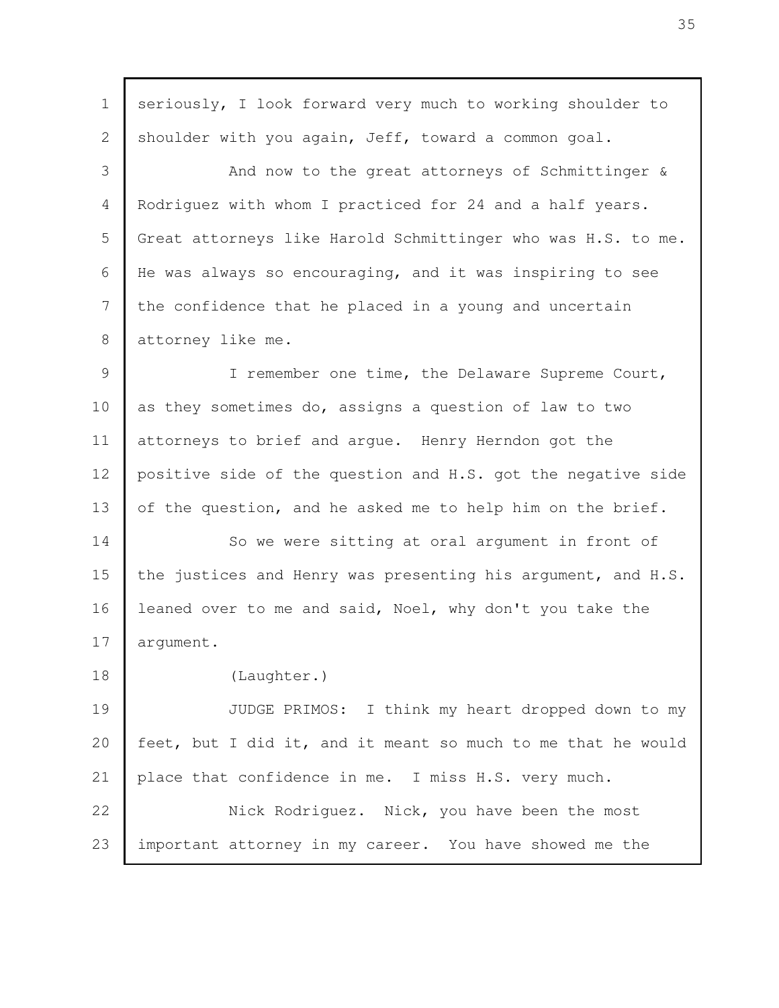| $\mathbf 1$    | seriously, I look forward very much to working shoulder to   |
|----------------|--------------------------------------------------------------|
| $\overline{2}$ | shoulder with you again, Jeff, toward a common goal.         |
| 3              | And now to the great attorneys of Schmittinger &             |
| 4              | Rodriguez with whom I practiced for 24 and a half years.     |
| 5              | Great attorneys like Harold Schmittinger who was H.S. to me. |
| 6              | He was always so encouraging, and it was inspiring to see    |
| 7              | the confidence that he placed in a young and uncertain       |
| 8              | attorney like me.                                            |
| 9              | I remember one time, the Delaware Supreme Court,             |
| 10             | as they sometimes do, assigns a question of law to two       |
| 11             | attorneys to brief and argue. Henry Herndon got the          |
| 12             | positive side of the question and H.S. got the negative side |
| 13             | of the question, and he asked me to help him on the brief.   |
| 14             | So we were sitting at oral argument in front of              |
| 15             | the justices and Henry was presenting his argument, and H.S. |
| 16             | leaned over to me and said, Noel, why don't you take the     |
| 17             | argument.                                                    |
| 18             | (Laughter.)                                                  |
| 19             | JUDGE PRIMOS: I think my heart dropped down to my            |
| 20             | feet, but I did it, and it meant so much to me that he would |
| 21             | place that confidence in me. I miss H.S. very much.          |
| 22             | Nick Rodriguez. Nick, you have been the most                 |
| 23             | important attorney in my career. You have showed me the      |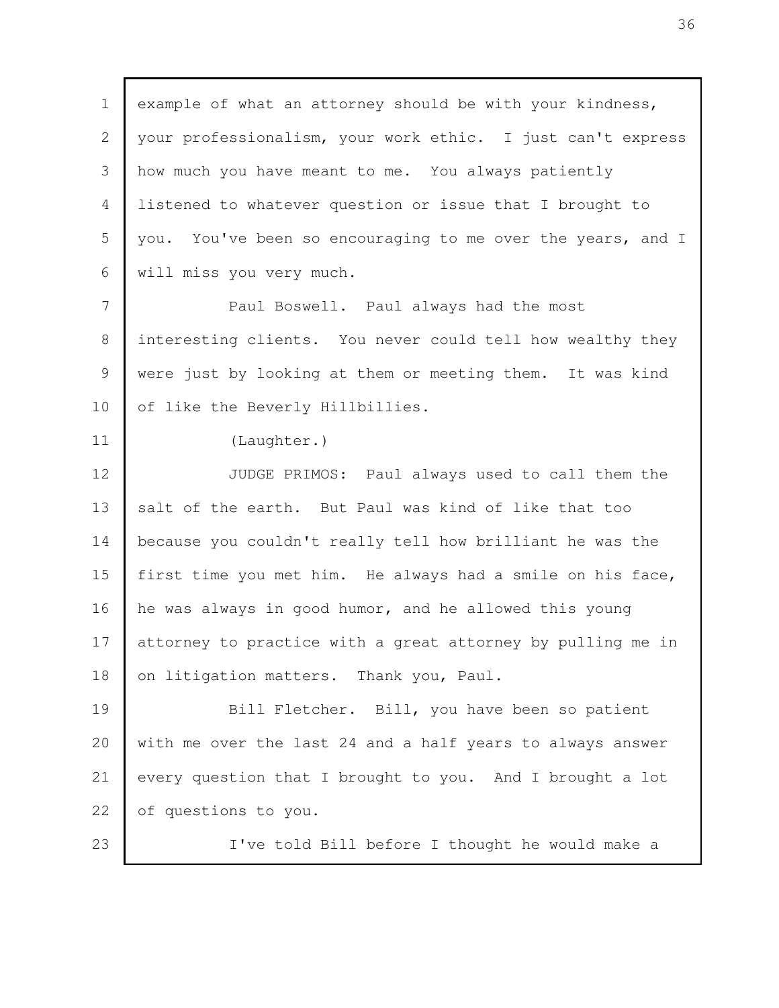example of what an attorney should be with your kindness, your professionalism, your work ethic. I just can't express how much you have meant to me. You always patiently listened to whatever question or issue that I brought to you. You've been so encouraging to me over the years, and I will miss you very much. Paul Boswell. Paul always had the most interesting clients. You never could tell how wealthy they were just by looking at them or meeting them. It was kind of like the Beverly Hillbillies. (Laughter.) JUDGE PRIMOS: Paul always used to call them the salt of the earth. But Paul was kind of like that too because you couldn't really tell how brilliant he was the first time you met him. He always had a smile on his face, he was always in good humor, and he allowed this young attorney to practice with a great attorney by pulling me in on litigation matters. Thank you, Paul. Bill Fletcher. Bill, you have been so patient with me over the last 24 and a half years to always answer every question that I brought to you. And I brought a lot of questions to you. I've told Bill before I thought he would make a 1 2 3 4 5 6 7 8 9 10 11 12 13 14 15 16 17 18 19 20 21 22 23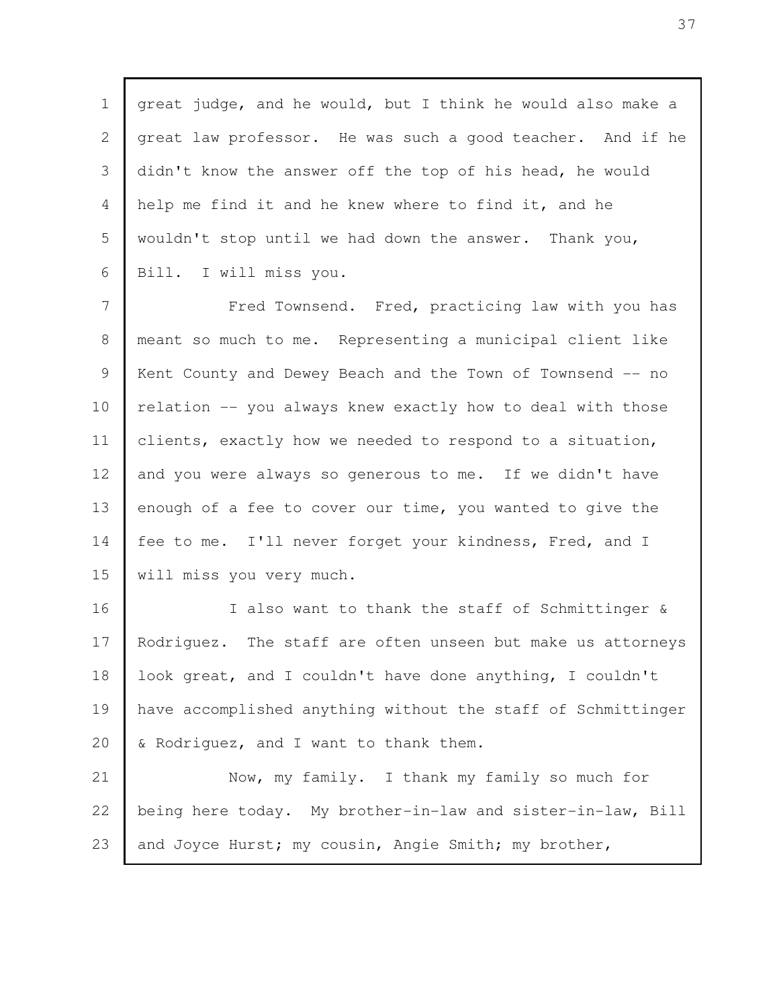great judge, and he would, but I think he would also make a great law professor. He was such a good teacher. And if he didn't know the answer off the top of his head, he would help me find it and he knew where to find it, and he wouldn't stop until we had down the answer. Thank you, Bill. I will miss you. 1 2 3 4 5 6

Fred Townsend. Fred, practicing law with you has meant so much to me. Representing a municipal client like Kent County and Dewey Beach and the Town of Townsend -- no relation -- you always knew exactly how to deal with those clients, exactly how we needed to respond to a situation, and you were always so generous to me. If we didn't have enough of a fee to cover our time, you wanted to give the fee to me. I'll never forget your kindness, Fred, and I will miss you very much. 7 8 9 10 11 12 13 14 15

I also want to thank the staff of Schmittinger & Rodriguez. The staff are often unseen but make us attorneys look great, and I couldn't have done anything, I couldn't have accomplished anything without the staff of Schmittinger & Rodriguez, and I want to thank them. 16 17 18 19 20

Now, my family. I thank my family so much for being here today. My brother-in-law and sister-in-law, Bill and Joyce Hurst; my cousin, Angie Smith; my brother, 21 22 23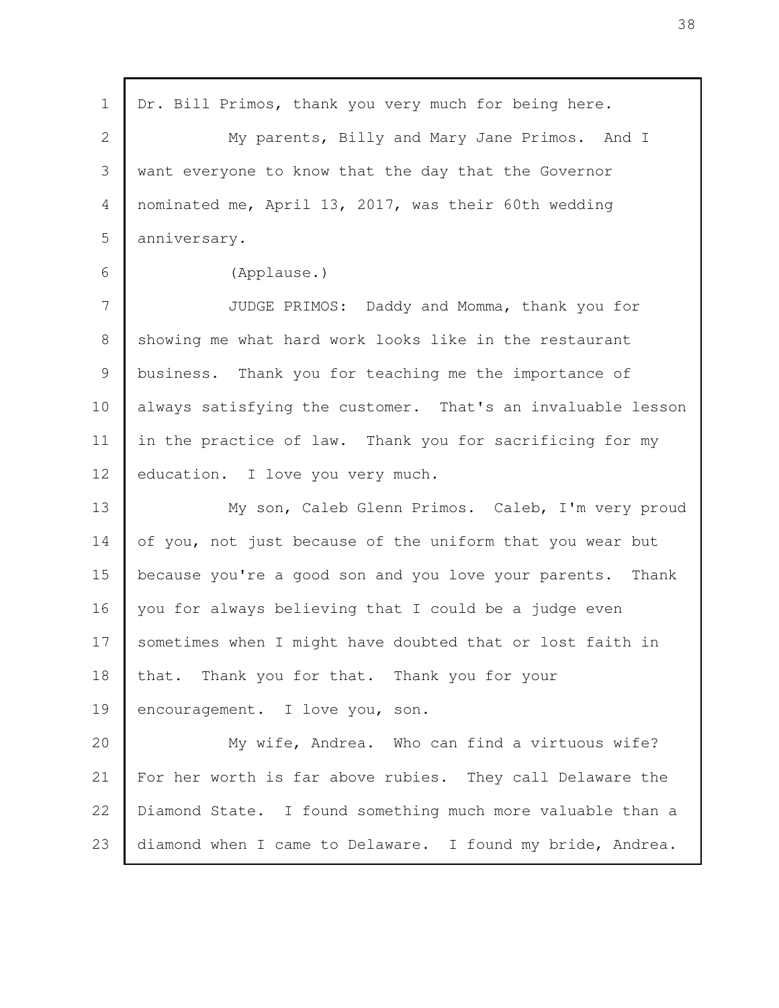| Dr. Bill Primos, thank you very much for being here.<br>$\mathbf 1$<br>$\overline{2}$<br>My parents, Billy and Mary Jane Primos. And I<br>3<br>want everyone to know that the day that the Governor<br>nominated me, April 13, 2017, was their 60th wedding<br>$\overline{4}$<br>5<br>anniversary.<br>6<br>(Applause.)<br>7<br>JUDGE PRIMOS: Daddy and Momma, thank you for<br>8<br>showing me what hard work looks like in the restaurant<br>9<br>business. Thank you for teaching me the importance of<br>10<br>always satisfying the customer. That's an invaluable lesson<br>11<br>in the practice of law. Thank you for sacrificing for my<br>12<br>education. I love you very much.<br>13<br>My son, Caleb Glenn Primos. Caleb, I'm very proud<br>14<br>of you, not just because of the uniform that you wear but<br>15<br>because you're a good son and you love your parents. Thank<br>you for always believing that I could be a judge even<br>16<br>17<br>sometimes when I might have doubted that or lost faith in<br>18<br>that. Thank you for that. Thank you for your<br>19<br>encouragement. I love you, son.<br>20<br>My wife, Andrea. Who can find a virtuous wife?<br>21<br>For her worth is far above rubies. They call Delaware the<br>Diamond State. I found something much more valuable than a<br>22<br>23<br>diamond when I came to Delaware. I found my bride, Andrea. |  |
|-------------------------------------------------------------------------------------------------------------------------------------------------------------------------------------------------------------------------------------------------------------------------------------------------------------------------------------------------------------------------------------------------------------------------------------------------------------------------------------------------------------------------------------------------------------------------------------------------------------------------------------------------------------------------------------------------------------------------------------------------------------------------------------------------------------------------------------------------------------------------------------------------------------------------------------------------------------------------------------------------------------------------------------------------------------------------------------------------------------------------------------------------------------------------------------------------------------------------------------------------------------------------------------------------------------------------------------------------------------------------------------------------|--|
|                                                                                                                                                                                                                                                                                                                                                                                                                                                                                                                                                                                                                                                                                                                                                                                                                                                                                                                                                                                                                                                                                                                                                                                                                                                                                                                                                                                                 |  |
|                                                                                                                                                                                                                                                                                                                                                                                                                                                                                                                                                                                                                                                                                                                                                                                                                                                                                                                                                                                                                                                                                                                                                                                                                                                                                                                                                                                                 |  |
|                                                                                                                                                                                                                                                                                                                                                                                                                                                                                                                                                                                                                                                                                                                                                                                                                                                                                                                                                                                                                                                                                                                                                                                                                                                                                                                                                                                                 |  |
|                                                                                                                                                                                                                                                                                                                                                                                                                                                                                                                                                                                                                                                                                                                                                                                                                                                                                                                                                                                                                                                                                                                                                                                                                                                                                                                                                                                                 |  |
|                                                                                                                                                                                                                                                                                                                                                                                                                                                                                                                                                                                                                                                                                                                                                                                                                                                                                                                                                                                                                                                                                                                                                                                                                                                                                                                                                                                                 |  |
|                                                                                                                                                                                                                                                                                                                                                                                                                                                                                                                                                                                                                                                                                                                                                                                                                                                                                                                                                                                                                                                                                                                                                                                                                                                                                                                                                                                                 |  |
|                                                                                                                                                                                                                                                                                                                                                                                                                                                                                                                                                                                                                                                                                                                                                                                                                                                                                                                                                                                                                                                                                                                                                                                                                                                                                                                                                                                                 |  |
|                                                                                                                                                                                                                                                                                                                                                                                                                                                                                                                                                                                                                                                                                                                                                                                                                                                                                                                                                                                                                                                                                                                                                                                                                                                                                                                                                                                                 |  |
|                                                                                                                                                                                                                                                                                                                                                                                                                                                                                                                                                                                                                                                                                                                                                                                                                                                                                                                                                                                                                                                                                                                                                                                                                                                                                                                                                                                                 |  |
|                                                                                                                                                                                                                                                                                                                                                                                                                                                                                                                                                                                                                                                                                                                                                                                                                                                                                                                                                                                                                                                                                                                                                                                                                                                                                                                                                                                                 |  |
|                                                                                                                                                                                                                                                                                                                                                                                                                                                                                                                                                                                                                                                                                                                                                                                                                                                                                                                                                                                                                                                                                                                                                                                                                                                                                                                                                                                                 |  |
|                                                                                                                                                                                                                                                                                                                                                                                                                                                                                                                                                                                                                                                                                                                                                                                                                                                                                                                                                                                                                                                                                                                                                                                                                                                                                                                                                                                                 |  |
|                                                                                                                                                                                                                                                                                                                                                                                                                                                                                                                                                                                                                                                                                                                                                                                                                                                                                                                                                                                                                                                                                                                                                                                                                                                                                                                                                                                                 |  |
|                                                                                                                                                                                                                                                                                                                                                                                                                                                                                                                                                                                                                                                                                                                                                                                                                                                                                                                                                                                                                                                                                                                                                                                                                                                                                                                                                                                                 |  |
|                                                                                                                                                                                                                                                                                                                                                                                                                                                                                                                                                                                                                                                                                                                                                                                                                                                                                                                                                                                                                                                                                                                                                                                                                                                                                                                                                                                                 |  |
|                                                                                                                                                                                                                                                                                                                                                                                                                                                                                                                                                                                                                                                                                                                                                                                                                                                                                                                                                                                                                                                                                                                                                                                                                                                                                                                                                                                                 |  |
|                                                                                                                                                                                                                                                                                                                                                                                                                                                                                                                                                                                                                                                                                                                                                                                                                                                                                                                                                                                                                                                                                                                                                                                                                                                                                                                                                                                                 |  |
|                                                                                                                                                                                                                                                                                                                                                                                                                                                                                                                                                                                                                                                                                                                                                                                                                                                                                                                                                                                                                                                                                                                                                                                                                                                                                                                                                                                                 |  |
|                                                                                                                                                                                                                                                                                                                                                                                                                                                                                                                                                                                                                                                                                                                                                                                                                                                                                                                                                                                                                                                                                                                                                                                                                                                                                                                                                                                                 |  |
|                                                                                                                                                                                                                                                                                                                                                                                                                                                                                                                                                                                                                                                                                                                                                                                                                                                                                                                                                                                                                                                                                                                                                                                                                                                                                                                                                                                                 |  |
|                                                                                                                                                                                                                                                                                                                                                                                                                                                                                                                                                                                                                                                                                                                                                                                                                                                                                                                                                                                                                                                                                                                                                                                                                                                                                                                                                                                                 |  |
|                                                                                                                                                                                                                                                                                                                                                                                                                                                                                                                                                                                                                                                                                                                                                                                                                                                                                                                                                                                                                                                                                                                                                                                                                                                                                                                                                                                                 |  |
|                                                                                                                                                                                                                                                                                                                                                                                                                                                                                                                                                                                                                                                                                                                                                                                                                                                                                                                                                                                                                                                                                                                                                                                                                                                                                                                                                                                                 |  |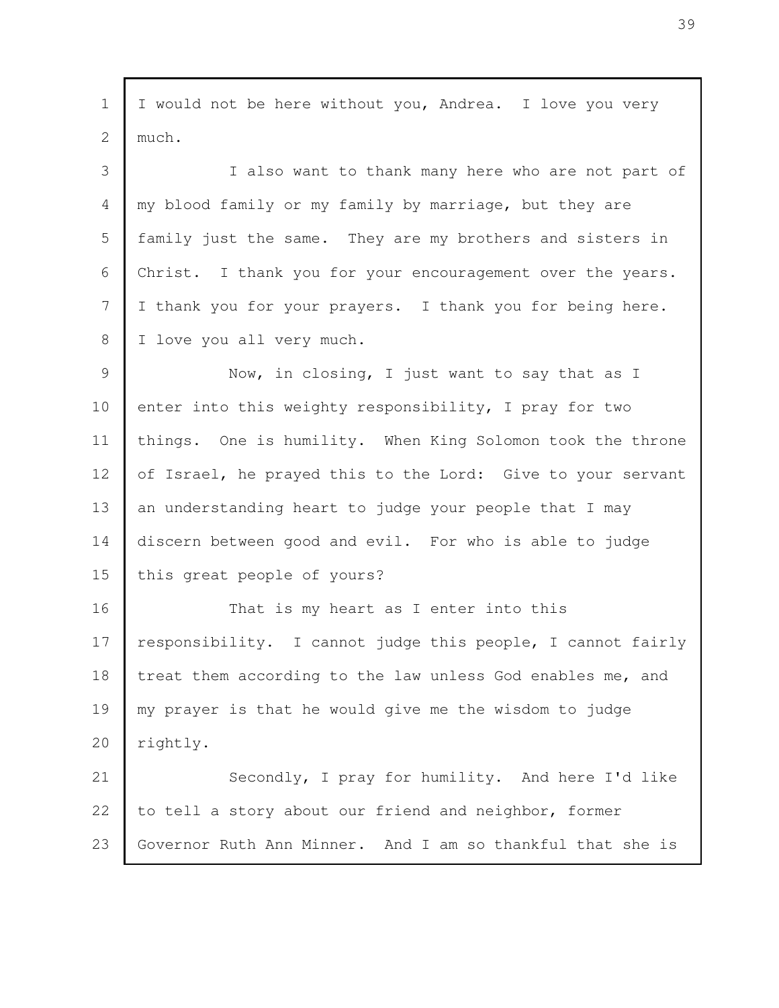I would not be here without you, Andrea. I love you very much. I also want to thank many here who are not part of my blood family or my family by marriage, but they are family just the same. They are my brothers and sisters in Christ. I thank you for your encouragement over the years. I thank you for your prayers. I thank you for being here. I love you all very much. Now, in closing, I just want to say that as I enter into this weighty responsibility, I pray for two things. One is humility. When King Solomon took the throne of Israel, he prayed this to the Lord: Give to your servant an understanding heart to judge your people that I may discern between good and evil. For who is able to judge this great people of yours? That is my heart as I enter into this responsibility. I cannot judge this people, I cannot fairly treat them according to the law unless God enables me, and my prayer is that he would give me the wisdom to judge rightly. Secondly, I pray for humility. And here I'd like to tell a story about our friend and neighbor, former Governor Ruth Ann Minner. And I am so thankful that she is 1 2 3 4 5 6 7 8 9 10 11 12 13 14 15 16 17 18 19 20 21 22 23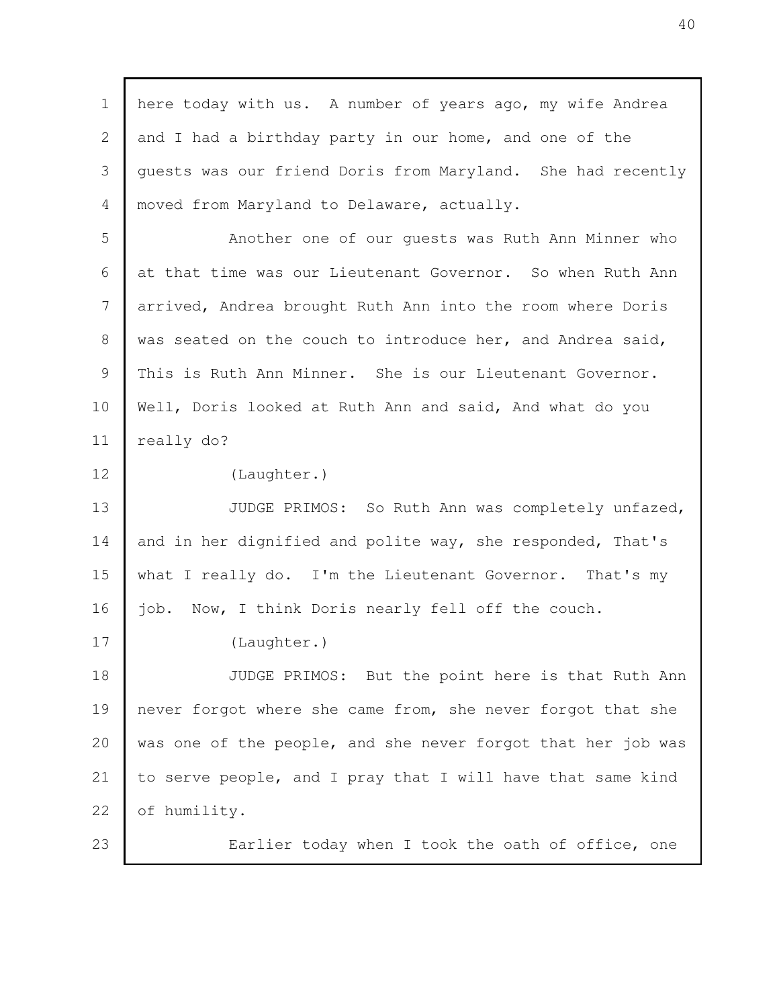| $\mathbf 1$ | here today with us. A number of years ago, my wife Andrea    |
|-------------|--------------------------------------------------------------|
| 2           | and I had a birthday party in our home, and one of the       |
| 3           | quests was our friend Doris from Maryland. She had recently  |
| 4           | moved from Maryland to Delaware, actually.                   |
| 5           | Another one of our quests was Ruth Ann Minner who            |
| 6           | at that time was our Lieutenant Governor. So when Ruth Ann   |
| 7           | arrived, Andrea brought Ruth Ann into the room where Doris   |
| 8           | was seated on the couch to introduce her, and Andrea said,   |
| 9           | This is Ruth Ann Minner. She is our Lieutenant Governor.     |
| 10          | Well, Doris looked at Ruth Ann and said, And what do you     |
| 11          | really do?                                                   |
| 12          | (Laughter.)                                                  |
| 13          | JUDGE PRIMOS: So Ruth Ann was completely unfazed,            |
| 14          | and in her dignified and polite way, she responded, That's   |
| 15          | what I really do. I'm the Lieutenant Governor. That's my     |
| 16          | Now, I think Doris nearly fell off the couch.<br>job.        |
| 17          | (Laughter.)                                                  |
| 18          | JUDGE PRIMOS: But the point here is that Ruth Ann            |
| 19          | never forgot where she came from, she never forgot that she  |
| 20          | was one of the people, and she never forgot that her job was |
| 21          | to serve people, and I pray that I will have that same kind  |
| 22          | of humility.                                                 |
| 23          | Earlier today when I took the oath of office, one            |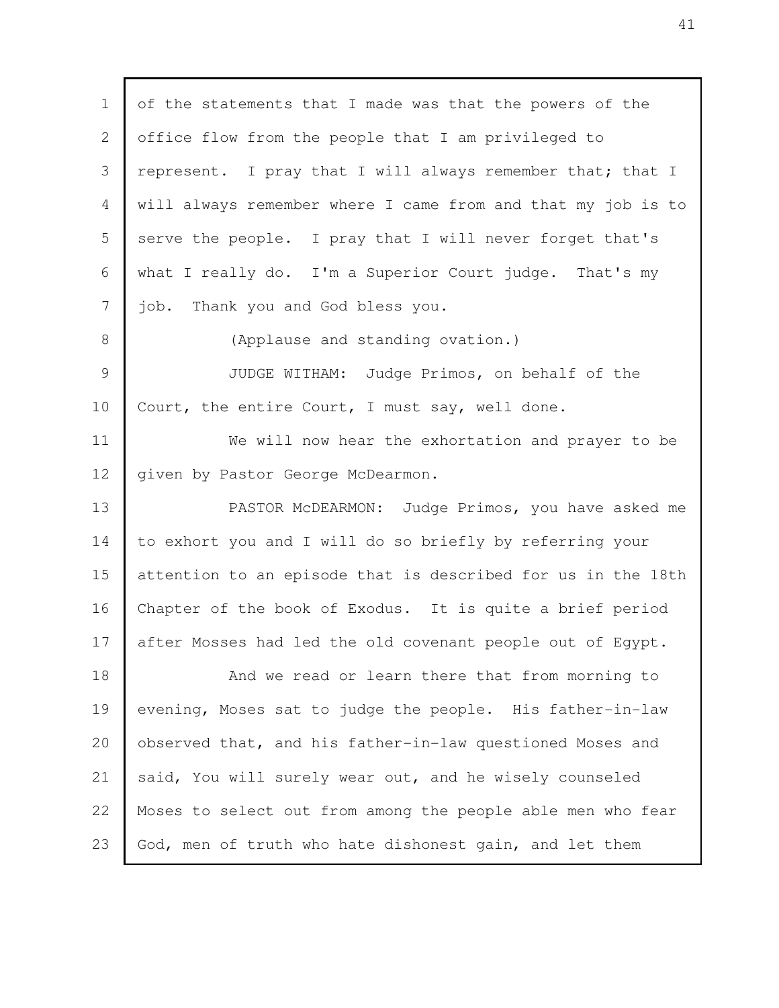of the statements that I made was that the powers of the office flow from the people that I am privileged to represent. I pray that I will always remember that; that I will always remember where I came from and that my job is to serve the people. I pray that I will never forget that's what I really do. I'm a Superior Court judge. That's my job. Thank you and God bless you. (Applause and standing ovation.) JUDGE WITHAM: Judge Primos, on behalf of the Court, the entire Court, I must say, well done. We will now hear the exhortation and prayer to be given by Pastor George McDearmon. PASTOR McDEARMON: Judge Primos, you have asked me to exhort you and I will do so briefly by referring your attention to an episode that is described for us in the 18th Chapter of the book of Exodus. It is quite a brief period after Mosses had led the old covenant people out of Egypt. And we read or learn there that from morning to evening, Moses sat to judge the people. His father-in-law observed that, and his father-in-law questioned Moses and said, You will surely wear out, and he wisely counseled Moses to select out from among the people able men who fear God, men of truth who hate dishonest gain, and let them 1 2 3 4 5 6 7 8 9 10 11 12 13 14 15 16 17 18 19 20 21 22 23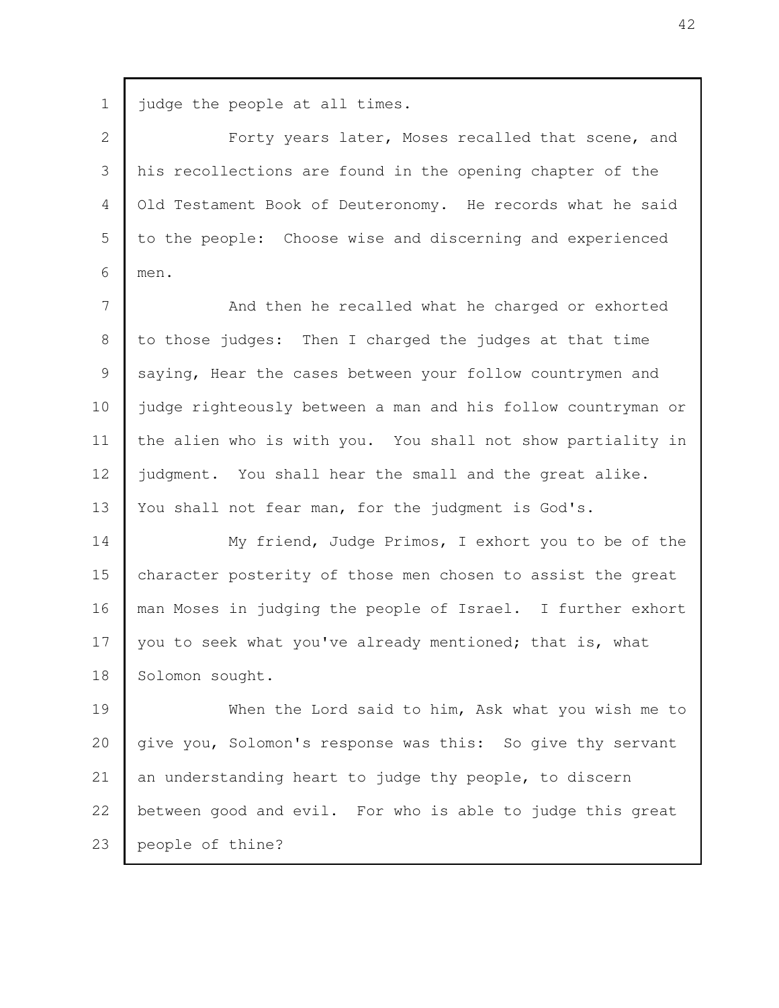|  |  |  | 1 judge the people at all times. |  |  |  |
|--|--|--|----------------------------------|--|--|--|
|--|--|--|----------------------------------|--|--|--|

Forty years later, Moses recalled that scene, and his recollections are found in the opening chapter of the Old Testament Book of Deuteronomy. He records what he said to the people: Choose wise and discerning and experienced men. 2 3 4 5 6

And then he recalled what he charged or exhorted to those judges: Then I charged the judges at that time saying, Hear the cases between your follow countrymen and judge righteously between a man and his follow countryman or the alien who is with you. You shall not show partiality in judgment. You shall hear the small and the great alike. You shall not fear man, for the judgment is God's. 7 8 9 10 11 12 13

My friend, Judge Primos, I exhort you to be of the character posterity of those men chosen to assist the great man Moses in judging the people of Israel. I further exhort you to seek what you've already mentioned; that is, what Solomon sought. 14 15 16 17 18

When the Lord said to him, Ask what you wish me to give you, Solomon's response was this: So give thy servant an understanding heart to judge thy people, to discern between good and evil. For who is able to judge this great people of thine? 19 20 21 22 23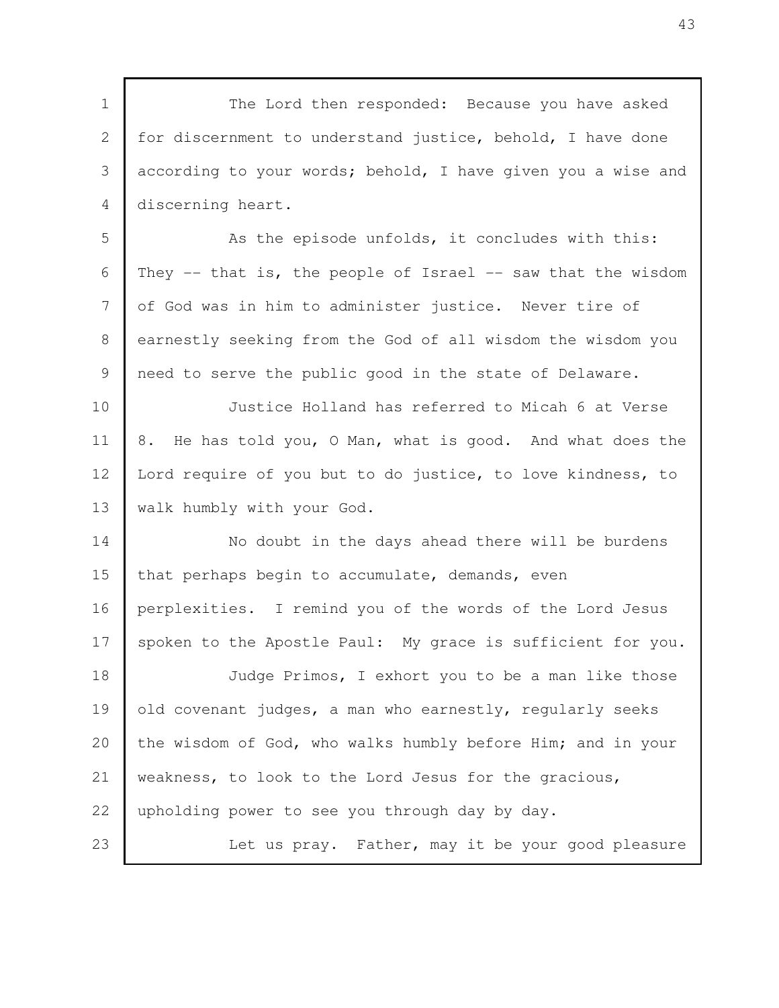The Lord then responded: Because you have asked for discernment to understand justice, behold, I have done according to your words; behold, I have given you a wise and discerning heart. As the episode unfolds, it concludes with this: They  $-$  that is, the people of Israel  $-$  saw that the wisdom of God was in him to administer justice. Never tire of earnestly seeking from the God of all wisdom the wisdom you need to serve the public good in the state of Delaware. Justice Holland has referred to Micah 6 at Verse 8. He has told you, O Man, what is good. And what does the Lord require of you but to do justice, to love kindness, to walk humbly with your God. No doubt in the days ahead there will be burdens that perhaps begin to accumulate, demands, even perplexities. I remind you of the words of the Lord Jesus spoken to the Apostle Paul: My grace is sufficient for you. Judge Primos, I exhort you to be a man like those old covenant judges, a man who earnestly, regularly seeks the wisdom of God, who walks humbly before Him; and in your weakness, to look to the Lord Jesus for the gracious, upholding power to see you through day by day. Let us pray. Father, may it be your good pleasure 1 2 3 4 5 6 7 8 9 10 11 12 13 14 15 16 17 18 19 20 21 22 23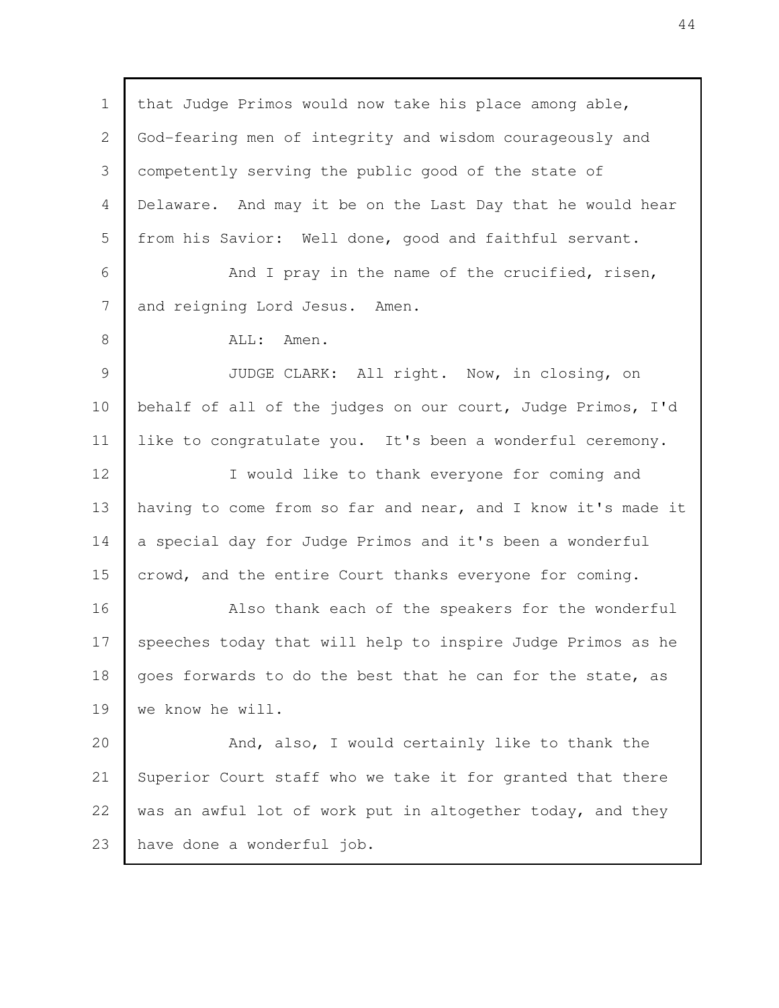that Judge Primos would now take his place among able, God-fearing men of integrity and wisdom courageously and competently serving the public good of the state of Delaware. And may it be on the Last Day that he would hear from his Savior: Well done, good and faithful servant. And I pray in the name of the crucified, risen, and reigning Lord Jesus. Amen. ALL: Amen. JUDGE CLARK: All right. Now, in closing, on behalf of all of the judges on our court, Judge Primos, I'd like to congratulate you. It's been a wonderful ceremony. I would like to thank everyone for coming and having to come from so far and near, and I know it's made it a special day for Judge Primos and it's been a wonderful crowd, and the entire Court thanks everyone for coming. Also thank each of the speakers for the wonderful speeches today that will help to inspire Judge Primos as he goes forwards to do the best that he can for the state, as we know he will. And, also, I would certainly like to thank the Superior Court staff who we take it for granted that there was an awful lot of work put in altogether today, and they have done a wonderful job. 1 2 3 4 5 6 7 8 9 10 11 12 13 14 15 16 17 18 19 20 21 22 23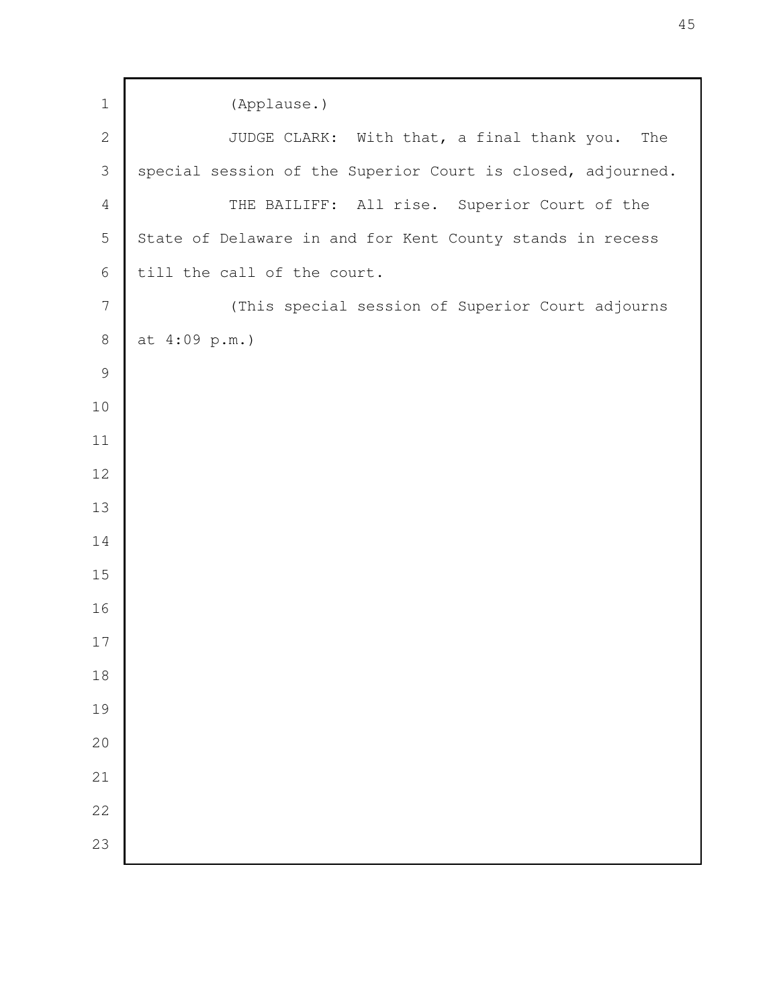| $\mathbf 1$    | (Applause.)                                                 |  |  |  |  |
|----------------|-------------------------------------------------------------|--|--|--|--|
| $\mathbf{2}$   | JUDGE CLARK: With that, a final thank you.<br>The           |  |  |  |  |
| 3              | special session of the Superior Court is closed, adjourned. |  |  |  |  |
| $\overline{4}$ | THE BAILIFF: All rise. Superior Court of the                |  |  |  |  |
| 5              | State of Delaware in and for Kent County stands in recess   |  |  |  |  |
| 6              | till the call of the court.                                 |  |  |  |  |
| $7\phantom{.}$ | (This special session of Superior Court adjourns            |  |  |  |  |
| $8\,$          | at 4:09 p.m.)                                               |  |  |  |  |
| $\mathcal{G}$  |                                                             |  |  |  |  |
| 10             |                                                             |  |  |  |  |
| 11             |                                                             |  |  |  |  |
| 12             |                                                             |  |  |  |  |
| 13             |                                                             |  |  |  |  |
| 14             |                                                             |  |  |  |  |
| 15             |                                                             |  |  |  |  |
| 16             |                                                             |  |  |  |  |
| 17             |                                                             |  |  |  |  |
| 18             |                                                             |  |  |  |  |
| 19             |                                                             |  |  |  |  |
| 20             |                                                             |  |  |  |  |
| 21             |                                                             |  |  |  |  |
| 22             |                                                             |  |  |  |  |
| 23             |                                                             |  |  |  |  |